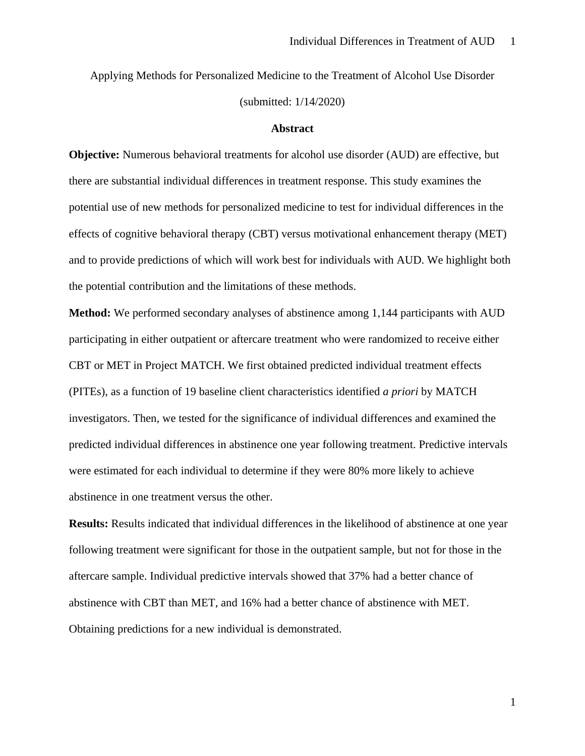Applying Methods for Personalized Medicine to the Treatment of Alcohol Use Disorder (submitted: 1/14/2020)

### **Abstract**

**Objective:** Numerous behavioral treatments for alcohol use disorder (AUD) are effective, but there are substantial individual differences in treatment response. This study examines the potential use of new methods for personalized medicine to test for individual differences in the effects of cognitive behavioral therapy (CBT) versus motivational enhancement therapy (MET) and to provide predictions of which will work best for individuals with AUD. We highlight both the potential contribution and the limitations of these methods.

**Method:** We performed secondary analyses of abstinence among 1,144 participants with AUD participating in either outpatient or aftercare treatment who were randomized to receive either CBT or MET in Project MATCH. We first obtained predicted individual treatment effects (PITEs), as a function of 19 baseline client characteristics identified *a priori* by MATCH investigators. Then, we tested for the significance of individual differences and examined the predicted individual differences in abstinence one year following treatment. Predictive intervals were estimated for each individual to determine if they were 80% more likely to achieve abstinence in one treatment versus the other.

**Results:** Results indicated that individual differences in the likelihood of abstinence at one year following treatment were significant for those in the outpatient sample, but not for those in the aftercare sample. Individual predictive intervals showed that 37% had a better chance of abstinence with CBT than MET, and 16% had a better chance of abstinence with MET. Obtaining predictions for a new individual is demonstrated.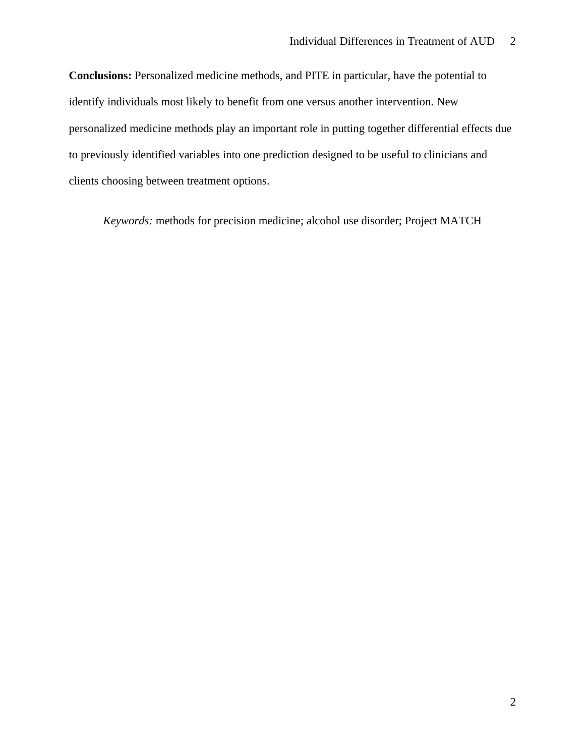**Conclusions:** Personalized medicine methods, and PITE in particular, have the potential to identify individuals most likely to benefit from one versus another intervention. New personalized medicine methods play an important role in putting together differential effects due to previously identified variables into one prediction designed to be useful to clinicians and clients choosing between treatment options.

*Keywords:* methods for precision medicine; alcohol use disorder; Project MATCH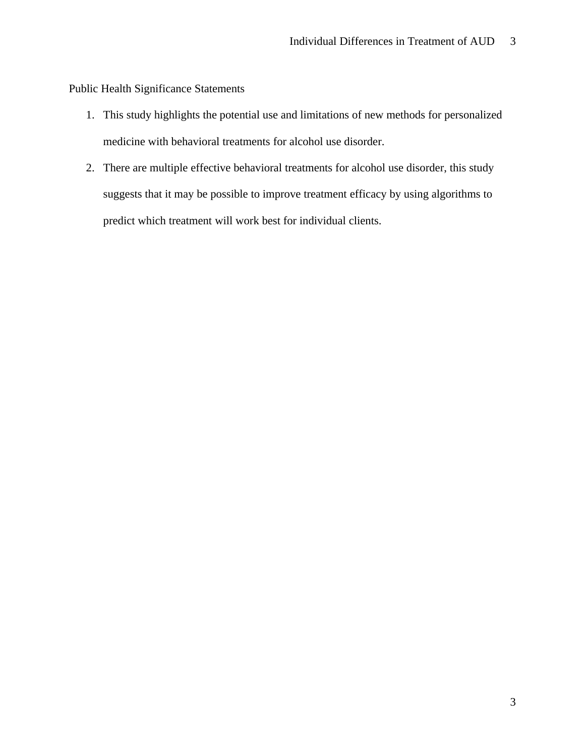Public Health Significance Statements

- 1. This study highlights the potential use and limitations of new methods for personalized medicine with behavioral treatments for alcohol use disorder.
- 2. There are multiple effective behavioral treatments for alcohol use disorder, this study suggests that it may be possible to improve treatment efficacy by using algorithms to predict which treatment will work best for individual clients.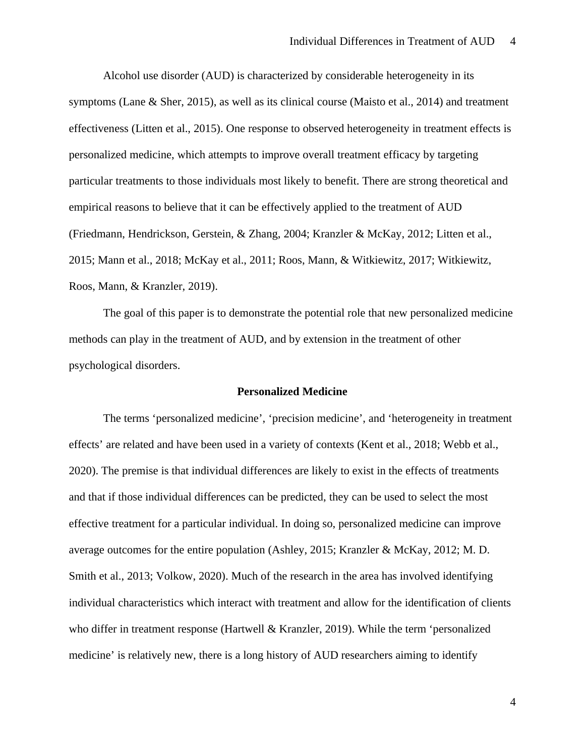Alcohol use disorder (AUD) is characterized by considerable heterogeneity in its symptoms (Lane & Sher, 2015), as well as its clinical course (Maisto et al., 2014) and treatment effectiveness (Litten et al., 2015). One response to observed heterogeneity in treatment effects is personalized medicine, which attempts to improve overall treatment efficacy by targeting particular treatments to those individuals most likely to benefit. There are strong theoretical and empirical reasons to believe that it can be effectively applied to the treatment of AUD (Friedmann, Hendrickson, Gerstein, & Zhang, 2004; Kranzler & McKay, 2012; Litten et al., 2015; Mann et al., 2018; McKay et al., 2011; Roos, Mann, & Witkiewitz, 2017; Witkiewitz, Roos, Mann, & Kranzler, 2019).

The goal of this paper is to demonstrate the potential role that new personalized medicine methods can play in the treatment of AUD, and by extension in the treatment of other psychological disorders.

#### **Personalized Medicine**

The terms 'personalized medicine', 'precision medicine', and 'heterogeneity in treatment effects' are related and have been used in a variety of contexts (Kent et al., 2018; Webb et al., 2020). The premise is that individual differences are likely to exist in the effects of treatments and that if those individual differences can be predicted, they can be used to select the most effective treatment for a particular individual. In doing so, personalized medicine can improve average outcomes for the entire population (Ashley, 2015; Kranzler & McKay, 2012; M. D. Smith et al., 2013; Volkow, 2020). Much of the research in the area has involved identifying individual characteristics which interact with treatment and allow for the identification of clients who differ in treatment response (Hartwell & Kranzler, 2019). While the term 'personalized medicine' is relatively new, there is a long history of AUD researchers aiming to identify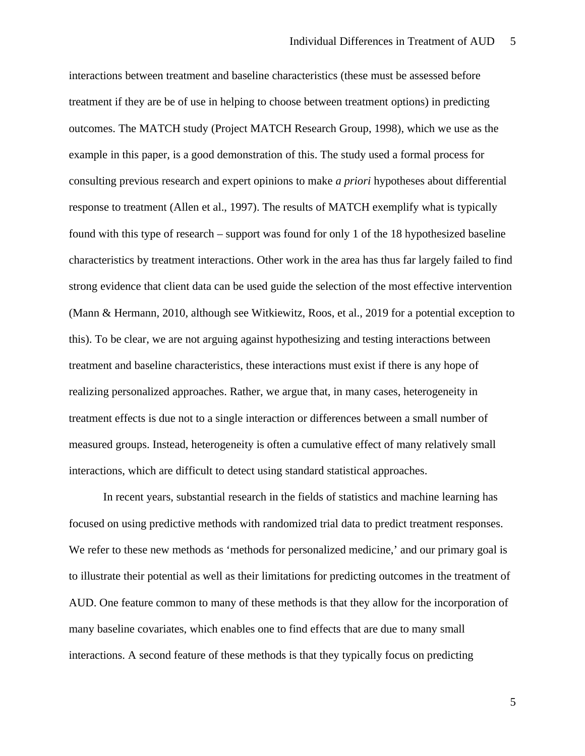interactions between treatment and baseline characteristics (these must be assessed before treatment if they are be of use in helping to choose between treatment options) in predicting outcomes. The MATCH study (Project MATCH Research Group, 1998), which we use as the example in this paper, is a good demonstration of this. The study used a formal process for consulting previous research and expert opinions to make *a priori* hypotheses about differential response to treatment (Allen et al., 1997). The results of MATCH exemplify what is typically found with this type of research – support was found for only 1 of the 18 hypothesized baseline characteristics by treatment interactions. Other work in the area has thus far largely failed to find strong evidence that client data can be used guide the selection of the most effective intervention (Mann & Hermann, 2010, although see Witkiewitz, Roos, et al., 2019 for a potential exception to this). To be clear, we are not arguing against hypothesizing and testing interactions between treatment and baseline characteristics, these interactions must exist if there is any hope of realizing personalized approaches. Rather, we argue that, in many cases, heterogeneity in treatment effects is due not to a single interaction or differences between a small number of measured groups. Instead, heterogeneity is often a cumulative effect of many relatively small interactions, which are difficult to detect using standard statistical approaches.

In recent years, substantial research in the fields of statistics and machine learning has focused on using predictive methods with randomized trial data to predict treatment responses. We refer to these new methods as 'methods for personalized medicine,' and our primary goal is to illustrate their potential as well as their limitations for predicting outcomes in the treatment of AUD. One feature common to many of these methods is that they allow for the incorporation of many baseline covariates, which enables one to find effects that are due to many small interactions. A second feature of these methods is that they typically focus on predicting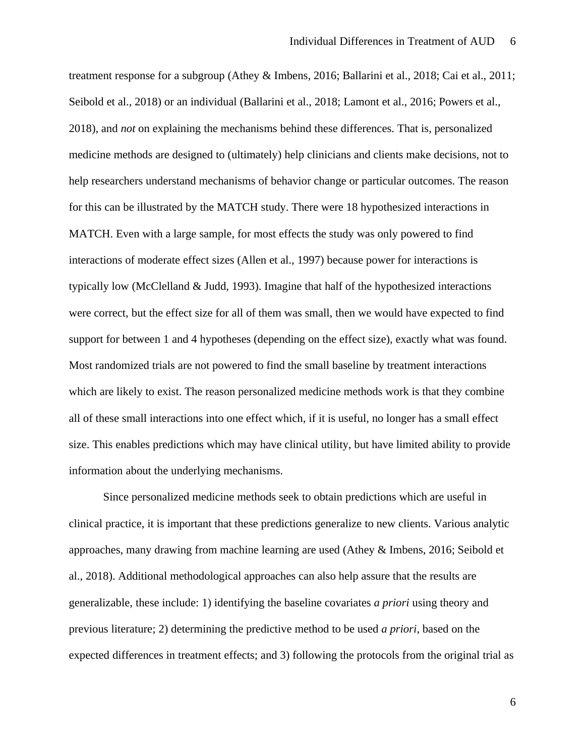treatment response for a subgroup (Athey & Imbens, 2016; Ballarini et al., 2018; Cai et al., 2011; Seibold et al., 2018) or an individual (Ballarini et al., 2018; Lamont et al., 2016; Powers et al., 2018), and *not* on explaining the mechanisms behind these differences. That is, personalized medicine methods are designed to (ultimately) help clinicians and clients make decisions, not to help researchers understand mechanisms of behavior change or particular outcomes. The reason for this can be illustrated by the MATCH study. There were 18 hypothesized interactions in MATCH. Even with a large sample, for most effects the study was only powered to find interactions of moderate effect sizes (Allen et al., 1997) because power for interactions is typically low (McClelland & Judd, 1993). Imagine that half of the hypothesized interactions were correct, but the effect size for all of them was small, then we would have expected to find support for between 1 and 4 hypotheses (depending on the effect size), exactly what was found. Most randomized trials are not powered to find the small baseline by treatment interactions which are likely to exist. The reason personalized medicine methods work is that they combine all of these small interactions into one effect which, if it is useful, no longer has a small effect size. This enables predictions which may have clinical utility, but have limited ability to provide information about the underlying mechanisms.

Since personalized medicine methods seek to obtain predictions which are useful in clinical practice, it is important that these predictions generalize to new clients. Various analytic approaches, many drawing from machine learning are used (Athey & Imbens, 2016; Seibold et al., 2018). Additional methodological approaches can also help assure that the results are generalizable, these include: 1) identifying the baseline covariates *a priori* using theory and previous literature; 2) determining the predictive method to be used *a priori*, based on the expected differences in treatment effects; and 3) following the protocols from the original trial as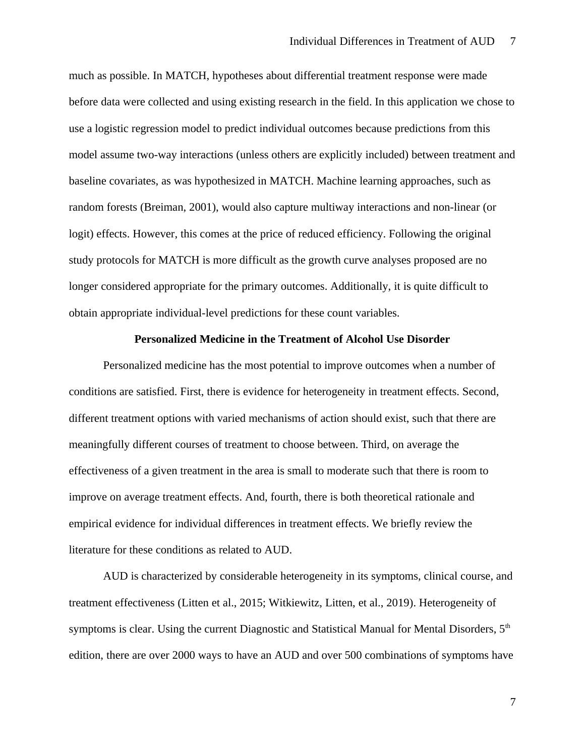much as possible. In MATCH, hypotheses about differential treatment response were made before data were collected and using existing research in the field. In this application we chose to use a logistic regression model to predict individual outcomes because predictions from this model assume two-way interactions (unless others are explicitly included) between treatment and baseline covariates, as was hypothesized in MATCH. Machine learning approaches, such as random forests (Breiman, 2001), would also capture multiway interactions and non-linear (or logit) effects. However, this comes at the price of reduced efficiency. Following the original study protocols for MATCH is more difficult as the growth curve analyses proposed are no longer considered appropriate for the primary outcomes. Additionally, it is quite difficult to obtain appropriate individual-level predictions for these count variables.

## **Personalized Medicine in the Treatment of Alcohol Use Disorder**

Personalized medicine has the most potential to improve outcomes when a number of conditions are satisfied. First, there is evidence for heterogeneity in treatment effects. Second, different treatment options with varied mechanisms of action should exist, such that there are meaningfully different courses of treatment to choose between. Third, on average the effectiveness of a given treatment in the area is small to moderate such that there is room to improve on average treatment effects. And, fourth, there is both theoretical rationale and empirical evidence for individual differences in treatment effects. We briefly review the literature for these conditions as related to AUD.

AUD is characterized by considerable heterogeneity in its symptoms, clinical course, and treatment effectiveness (Litten et al., 2015; Witkiewitz, Litten, et al., 2019). Heterogeneity of symptoms is clear. Using the current Diagnostic and Statistical Manual for Mental Disorders,  $5<sup>th</sup>$ edition, there are over 2000 ways to have an AUD and over 500 combinations of symptoms have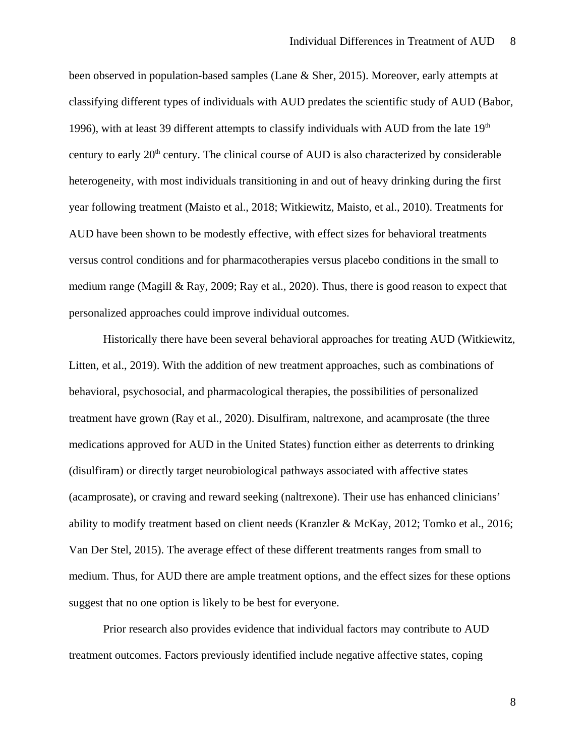been observed in population-based samples (Lane & Sher, 2015). Moreover, early attempts at classifying different types of individuals with AUD predates the scientific study of AUD (Babor, 1996), with at least 39 different attempts to classify individuals with AUD from the late  $19<sup>th</sup>$ century to early 20<sup>th</sup> century. The clinical course of AUD is also characterized by considerable heterogeneity, with most individuals transitioning in and out of heavy drinking during the first year following treatment (Maisto et al., 2018; Witkiewitz, Maisto, et al., 2010). Treatments for AUD have been shown to be modestly effective, with effect sizes for behavioral treatments versus control conditions and for pharmacotherapies versus placebo conditions in the small to medium range (Magill & Ray, 2009; Ray et al., 2020). Thus, there is good reason to expect that personalized approaches could improve individual outcomes.

Historically there have been several behavioral approaches for treating AUD (Witkiewitz, Litten, et al., 2019). With the addition of new treatment approaches, such as combinations of behavioral, psychosocial, and pharmacological therapies, the possibilities of personalized treatment have grown (Ray et al., 2020). Disulfiram, naltrexone, and acamprosate (the three medications approved for AUD in the United States) function either as deterrents to drinking (disulfiram) or directly target neurobiological pathways associated with affective states (acamprosate), or craving and reward seeking (naltrexone). Their use has enhanced clinicians' ability to modify treatment based on client needs (Kranzler & McKay, 2012; Tomko et al., 2016; Van Der Stel, 2015). The average effect of these different treatments ranges from small to medium. Thus, for AUD there are ample treatment options, and the effect sizes for these options suggest that no one option is likely to be best for everyone.

Prior research also provides evidence that individual factors may contribute to AUD treatment outcomes. Factors previously identified include negative affective states, coping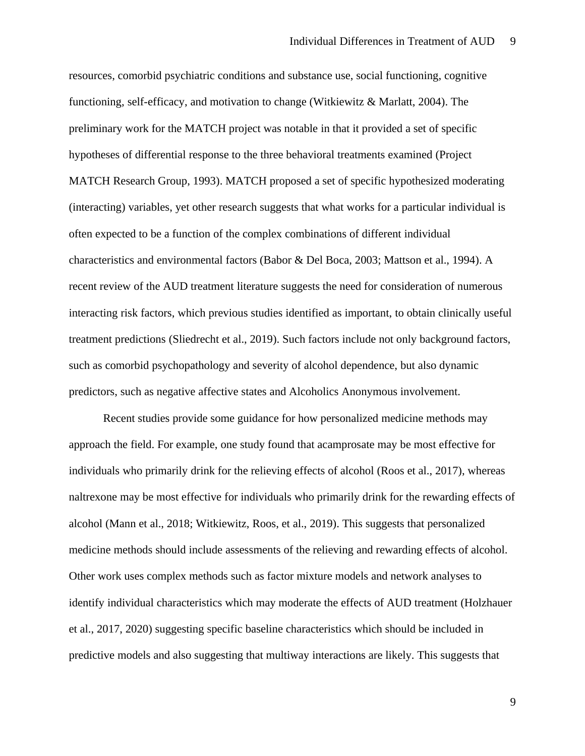resources, comorbid psychiatric conditions and substance use, social functioning, cognitive functioning, self-efficacy, and motivation to change (Witkiewitz & Marlatt, 2004). The preliminary work for the MATCH project was notable in that it provided a set of specific hypotheses of differential response to the three behavioral treatments examined (Project MATCH Research Group, 1993). MATCH proposed a set of specific hypothesized moderating (interacting) variables, yet other research suggests that what works for a particular individual is often expected to be a function of the complex combinations of different individual characteristics and environmental factors (Babor & Del Boca, 2003; Mattson et al., 1994). A recent review of the AUD treatment literature suggests the need for consideration of numerous interacting risk factors, which previous studies identified as important, to obtain clinically useful treatment predictions (Sliedrecht et al., 2019). Such factors include not only background factors, such as comorbid psychopathology and severity of alcohol dependence, but also dynamic predictors, such as negative affective states and Alcoholics Anonymous involvement.

Recent studies provide some guidance for how personalized medicine methods may approach the field. For example, one study found that acamprosate may be most effective for individuals who primarily drink for the relieving effects of alcohol (Roos et al., 2017), whereas naltrexone may be most effective for individuals who primarily drink for the rewarding effects of alcohol (Mann et al., 2018; Witkiewitz, Roos, et al., 2019). This suggests that personalized medicine methods should include assessments of the relieving and rewarding effects of alcohol. Other work uses complex methods such as factor mixture models and network analyses to identify individual characteristics which may moderate the effects of AUD treatment (Holzhauer et al., 2017, 2020) suggesting specific baseline characteristics which should be included in predictive models and also suggesting that multiway interactions are likely. This suggests that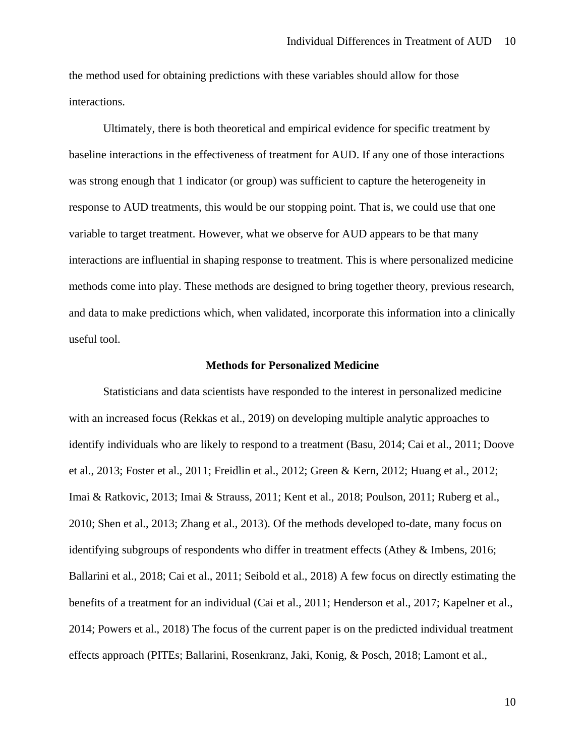the method used for obtaining predictions with these variables should allow for those interactions.

Ultimately, there is both theoretical and empirical evidence for specific treatment by baseline interactions in the effectiveness of treatment for AUD. If any one of those interactions was strong enough that 1 indicator (or group) was sufficient to capture the heterogeneity in response to AUD treatments, this would be our stopping point. That is, we could use that one variable to target treatment. However, what we observe for AUD appears to be that many interactions are influential in shaping response to treatment. This is where personalized medicine methods come into play. These methods are designed to bring together theory, previous research, and data to make predictions which, when validated, incorporate this information into a clinically useful tool.

### **Methods for Personalized Medicine**

Statisticians and data scientists have responded to the interest in personalized medicine with an increased focus (Rekkas et al., 2019) on developing multiple analytic approaches to identify individuals who are likely to respond to a treatment (Basu, 2014; Cai et al., 2011; Doove et al., 2013; Foster et al., 2011; Freidlin et al., 2012; Green & Kern, 2012; Huang et al., 2012; Imai & Ratkovic, 2013; Imai & Strauss, 2011; Kent et al., 2018; Poulson, 2011; Ruberg et al., 2010; Shen et al., 2013; Zhang et al., 2013). Of the methods developed to-date, many focus on identifying subgroups of respondents who differ in treatment effects (Athey & Imbens, 2016; Ballarini et al., 2018; Cai et al., 2011; Seibold et al., 2018) A few focus on directly estimating the benefits of a treatment for an individual (Cai et al., 2011; Henderson et al., 2017; Kapelner et al., 2014; Powers et al., 2018) The focus of the current paper is on the predicted individual treatment effects approach (PITEs; Ballarini, Rosenkranz, Jaki, Konig, & Posch, 2018; Lamont et al.,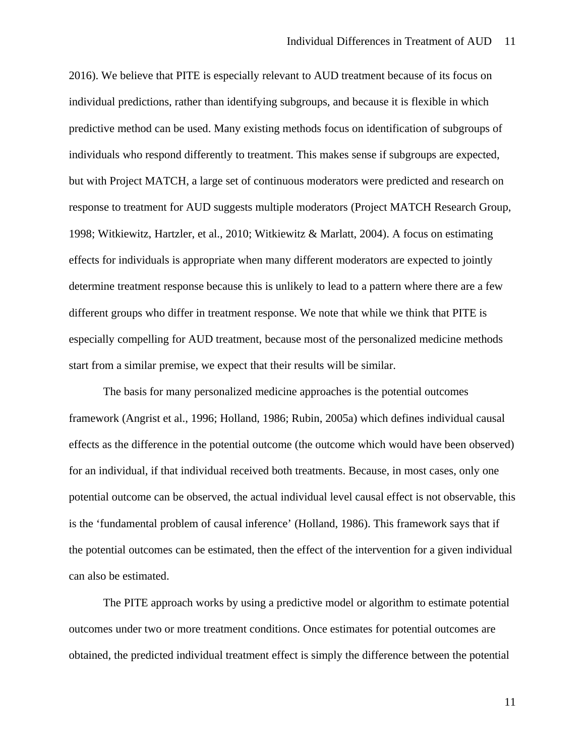2016). We believe that PITE is especially relevant to AUD treatment because of its focus on individual predictions, rather than identifying subgroups, and because it is flexible in which predictive method can be used. Many existing methods focus on identification of subgroups of individuals who respond differently to treatment. This makes sense if subgroups are expected, but with Project MATCH, a large set of continuous moderators were predicted and research on response to treatment for AUD suggests multiple moderators (Project MATCH Research Group, 1998; Witkiewitz, Hartzler, et al., 2010; Witkiewitz & Marlatt, 2004). A focus on estimating effects for individuals is appropriate when many different moderators are expected to jointly determine treatment response because this is unlikely to lead to a pattern where there are a few different groups who differ in treatment response. We note that while we think that PITE is especially compelling for AUD treatment, because most of the personalized medicine methods start from a similar premise, we expect that their results will be similar.

The basis for many personalized medicine approaches is the potential outcomes framework (Angrist et al., 1996; Holland, 1986; Rubin, 2005a) which defines individual causal effects as the difference in the potential outcome (the outcome which would have been observed) for an individual, if that individual received both treatments. Because, in most cases, only one potential outcome can be observed, the actual individual level causal effect is not observable, this is the 'fundamental problem of causal inference' (Holland, 1986). This framework says that if the potential outcomes can be estimated, then the effect of the intervention for a given individual can also be estimated.

The PITE approach works by using a predictive model or algorithm to estimate potential outcomes under two or more treatment conditions. Once estimates for potential outcomes are obtained, the predicted individual treatment effect is simply the difference between the potential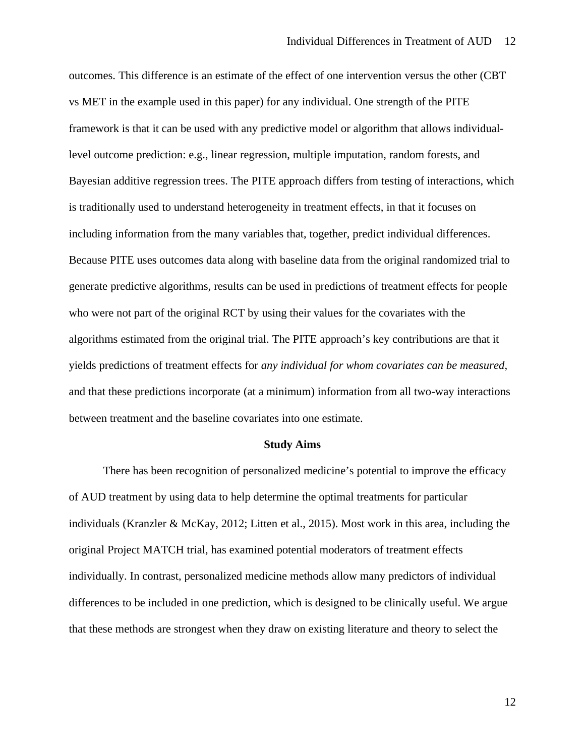outcomes. This difference is an estimate of the effect of one intervention versus the other (CBT vs MET in the example used in this paper) for any individual. One strength of the PITE framework is that it can be used with any predictive model or algorithm that allows individuallevel outcome prediction: e.g., linear regression, multiple imputation, random forests, and Bayesian additive regression trees. The PITE approach differs from testing of interactions, which is traditionally used to understand heterogeneity in treatment effects, in that it focuses on including information from the many variables that, together, predict individual differences. Because PITE uses outcomes data along with baseline data from the original randomized trial to generate predictive algorithms, results can be used in predictions of treatment effects for people who were not part of the original RCT by using their values for the covariates with the algorithms estimated from the original trial. The PITE approach's key contributions are that it yields predictions of treatment effects for *any individual for whom covariates can be measured*, and that these predictions incorporate (at a minimum) information from all two-way interactions between treatment and the baseline covariates into one estimate.

### **Study Aims**

There has been recognition of personalized medicine's potential to improve the efficacy of AUD treatment by using data to help determine the optimal treatments for particular individuals (Kranzler & McKay, 2012; Litten et al., 2015). Most work in this area, including the original Project MATCH trial, has examined potential moderators of treatment effects individually. In contrast, personalized medicine methods allow many predictors of individual differences to be included in one prediction, which is designed to be clinically useful. We argue that these methods are strongest when they draw on existing literature and theory to select the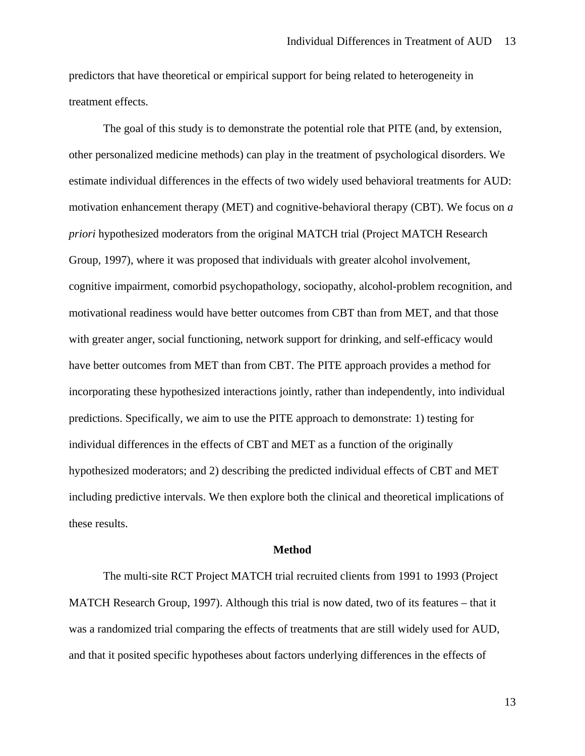predictors that have theoretical or empirical support for being related to heterogeneity in treatment effects.

The goal of this study is to demonstrate the potential role that PITE (and, by extension, other personalized medicine methods) can play in the treatment of psychological disorders. We estimate individual differences in the effects of two widely used behavioral treatments for AUD: motivation enhancement therapy (MET) and cognitive-behavioral therapy (CBT). We focus on *a priori* hypothesized moderators from the original MATCH trial (Project MATCH Research Group, 1997), where it was proposed that individuals with greater alcohol involvement, cognitive impairment, comorbid psychopathology, sociopathy, alcohol-problem recognition, and motivational readiness would have better outcomes from CBT than from MET, and that those with greater anger, social functioning, network support for drinking, and self-efficacy would have better outcomes from MET than from CBT. The PITE approach provides a method for incorporating these hypothesized interactions jointly, rather than independently, into individual predictions. Specifically, we aim to use the PITE approach to demonstrate: 1) testing for individual differences in the effects of CBT and MET as a function of the originally hypothesized moderators; and 2) describing the predicted individual effects of CBT and MET including predictive intervals. We then explore both the clinical and theoretical implications of these results.

### **Method**

The multi-site RCT Project MATCH trial recruited clients from 1991 to 1993 (Project MATCH Research Group, 1997). Although this trial is now dated, two of its features – that it was a randomized trial comparing the effects of treatments that are still widely used for AUD, and that it posited specific hypotheses about factors underlying differences in the effects of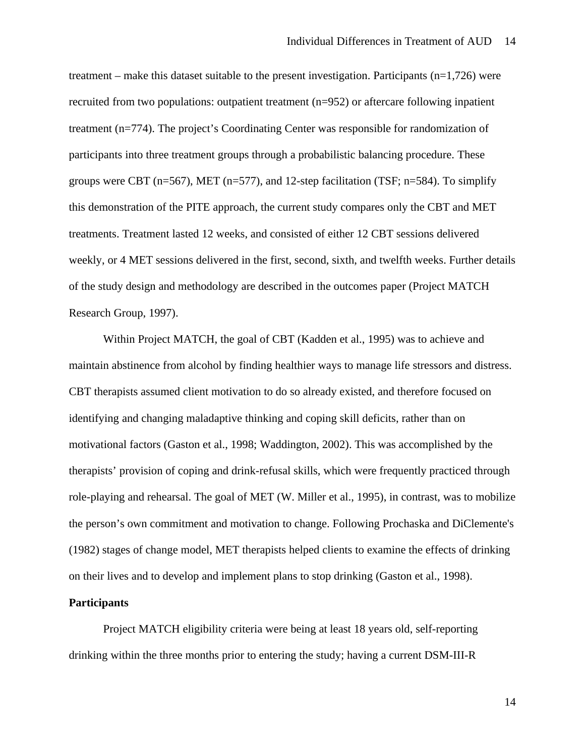treatment – make this dataset suitable to the present investigation. Participants  $(n=1,726)$  were recruited from two populations: outpatient treatment (n=952) or aftercare following inpatient treatment (n=774). The project's Coordinating Center was responsible for randomization of participants into three treatment groups through a probabilistic balancing procedure. These groups were CBT ( $n=567$ ), MET ( $n=577$ ), and 12-step facilitation (TSF;  $n=584$ ). To simplify this demonstration of the PITE approach, the current study compares only the CBT and MET treatments. Treatment lasted 12 weeks, and consisted of either 12 CBT sessions delivered weekly, or 4 MET sessions delivered in the first, second, sixth, and twelfth weeks. Further details of the study design and methodology are described in the outcomes paper (Project MATCH Research Group, 1997).

Within Project MATCH, the goal of CBT (Kadden et al., 1995) was to achieve and maintain abstinence from alcohol by finding healthier ways to manage life stressors and distress. CBT therapists assumed client motivation to do so already existed, and therefore focused on identifying and changing maladaptive thinking and coping skill deficits, rather than on motivational factors (Gaston et al., 1998; Waddington, 2002). This was accomplished by the therapists' provision of coping and drink-refusal skills, which were frequently practiced through role-playing and rehearsal. The goal of MET (W. Miller et al., 1995), in contrast, was to mobilize the person's own commitment and motivation to change. Following Prochaska and DiClemente's (1982) stages of change model, MET therapists helped clients to examine the effects of drinking on their lives and to develop and implement plans to stop drinking (Gaston et al., 1998).

## **Participants**

Project MATCH eligibility criteria were being at least 18 years old, self-reporting drinking within the three months prior to entering the study; having a current DSM-III-R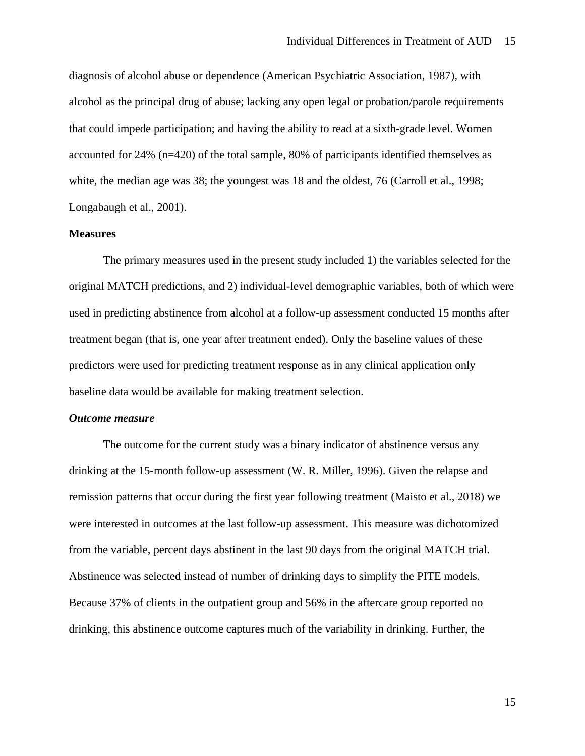diagnosis of alcohol abuse or dependence (American Psychiatric Association, 1987), with alcohol as the principal drug of abuse; lacking any open legal or probation/parole requirements that could impede participation; and having the ability to read at a sixth-grade level. Women accounted for 24% (n=420) of the total sample, 80% of participants identified themselves as white, the median age was 38; the youngest was 18 and the oldest, 76 (Carroll et al., 1998; Longabaugh et al., 2001).

## **Measures**

The primary measures used in the present study included 1) the variables selected for the original MATCH predictions, and 2) individual-level demographic variables, both of which were used in predicting abstinence from alcohol at a follow-up assessment conducted 15 months after treatment began (that is, one year after treatment ended). Only the baseline values of these predictors were used for predicting treatment response as in any clinical application only baseline data would be available for making treatment selection.

#### *Outcome measure*

The outcome for the current study was a binary indicator of abstinence versus any drinking at the 15-month follow-up assessment (W. R. Miller, 1996). Given the relapse and remission patterns that occur during the first year following treatment (Maisto et al., 2018) we were interested in outcomes at the last follow-up assessment. This measure was dichotomized from the variable, percent days abstinent in the last 90 days from the original MATCH trial. Abstinence was selected instead of number of drinking days to simplify the PITE models. Because 37% of clients in the outpatient group and 56% in the aftercare group reported no drinking, this abstinence outcome captures much of the variability in drinking. Further, the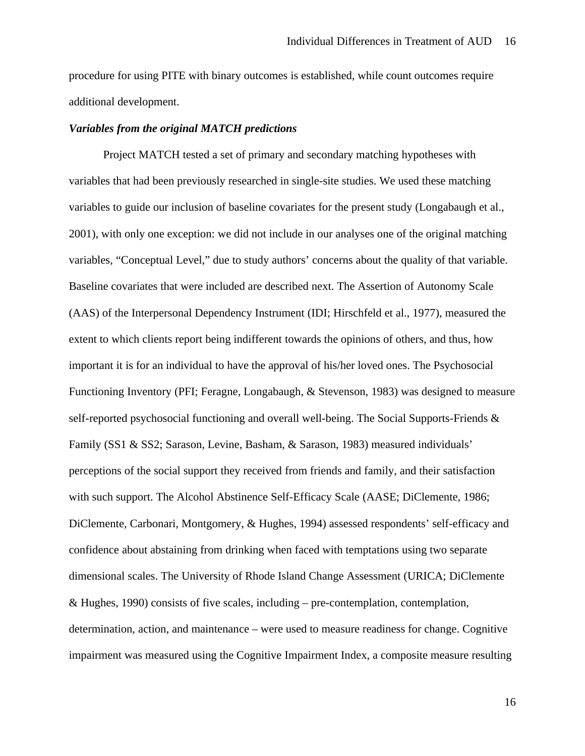procedure for using PITE with binary outcomes is established, while count outcomes require additional development.

#### *Variables from the original MATCH predictions*

Project MATCH tested a set of primary and secondary matching hypotheses with variables that had been previously researched in single-site studies. We used these matching variables to guide our inclusion of baseline covariates for the present study (Longabaugh et al., 2001), with only one exception: we did not include in our analyses one of the original matching variables, "Conceptual Level," due to study authors' concerns about the quality of that variable. Baseline covariates that were included are described next. The Assertion of Autonomy Scale (AAS) of the Interpersonal Dependency Instrument (IDI; Hirschfeld et al., 1977), measured the extent to which clients report being indifferent towards the opinions of others, and thus, how important it is for an individual to have the approval of his/her loved ones. The Psychosocial Functioning Inventory (PFI; Feragne, Longabaugh, & Stevenson, 1983) was designed to measure self-reported psychosocial functioning and overall well-being. The Social Supports-Friends & Family (SS1 & SS2; Sarason, Levine, Basham, & Sarason, 1983) measured individuals' perceptions of the social support they received from friends and family, and their satisfaction with such support. The Alcohol Abstinence Self-Efficacy Scale (AASE; DiClemente, 1986; DiClemente, Carbonari, Montgomery, & Hughes, 1994) assessed respondents' self-efficacy and confidence about abstaining from drinking when faced with temptations using two separate dimensional scales. The University of Rhode Island Change Assessment (URICA; DiClemente & Hughes, 1990) consists of five scales, including – pre-contemplation, contemplation, determination, action, and maintenance – were used to measure readiness for change. Cognitive impairment was measured using the Cognitive Impairment Index, a composite measure resulting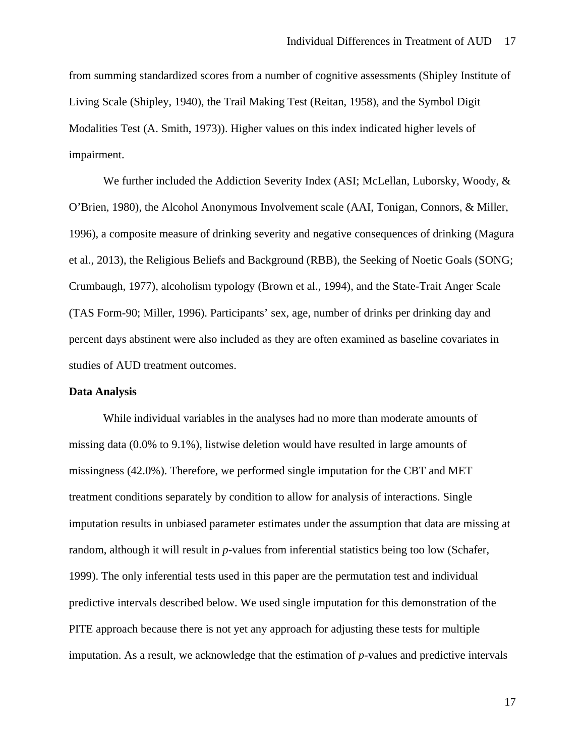from summing standardized scores from a number of cognitive assessments (Shipley Institute of Living Scale (Shipley, 1940), the Trail Making Test (Reitan, 1958), and the Symbol Digit Modalities Test (A. Smith, 1973)). Higher values on this index indicated higher levels of impairment.

We further included the Addiction Severity Index (ASI; McLellan, Luborsky, Woody, & O'Brien, 1980), the Alcohol Anonymous Involvement scale (AAI, Tonigan, Connors, & Miller, 1996), a composite measure of drinking severity and negative consequences of drinking (Magura et al., 2013), the Religious Beliefs and Background (RBB), the Seeking of Noetic Goals (SONG; Crumbaugh, 1977), alcoholism typology (Brown et al., 1994), and the State-Trait Anger Scale (TAS Form-90; Miller, 1996). Participants' sex, age, number of drinks per drinking day and percent days abstinent were also included as they are often examined as baseline covariates in studies of AUD treatment outcomes.

## **Data Analysis**

While individual variables in the analyses had no more than moderate amounts of missing data (0.0% to 9.1%), listwise deletion would have resulted in large amounts of missingness (42.0%). Therefore, we performed single imputation for the CBT and MET treatment conditions separately by condition to allow for analysis of interactions. Single imputation results in unbiased parameter estimates under the assumption that data are missing at random, although it will result in *p*-values from inferential statistics being too low (Schafer, 1999). The only inferential tests used in this paper are the permutation test and individual predictive intervals described below. We used single imputation for this demonstration of the PITE approach because there is not yet any approach for adjusting these tests for multiple imputation. As a result, we acknowledge that the estimation of *p*-values and predictive intervals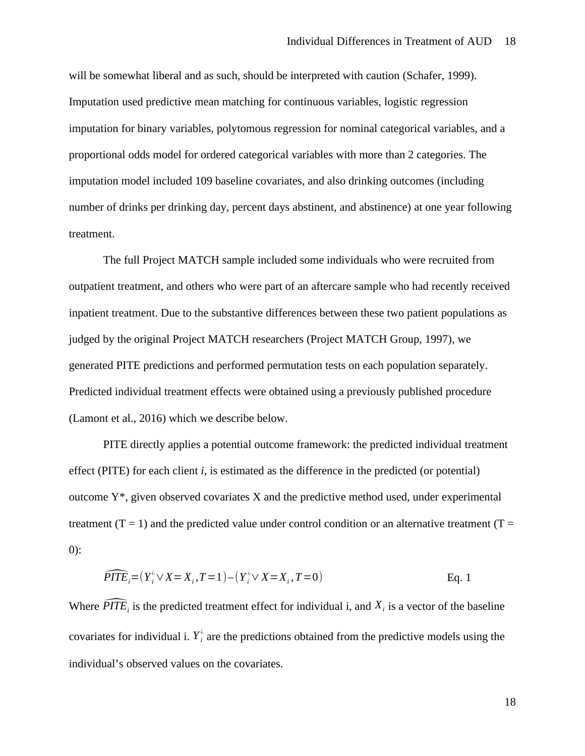will be somewhat liberal and as such, should be interpreted with caution (Schafer, 1999). Imputation used predictive mean matching for continuous variables, logistic regression imputation for binary variables, polytomous regression for nominal categorical variables, and a proportional odds model for ordered categorical variables with more than 2 categories. The imputation model included 109 baseline covariates, and also drinking outcomes (including number of drinks per drinking day, percent days abstinent, and abstinence) at one year following treatment.

The full Project MATCH sample included some individuals who were recruited from outpatient treatment, and others who were part of an aftercare sample who had recently received inpatient treatment. Due to the substantive differences between these two patient populations as judged by the original Project MATCH researchers (Project MATCH Group, 1997), we generated PITE predictions and performed permutation tests on each population separately. Predicted individual treatment effects were obtained using a previously published procedure (Lamont et al., 2016) which we describe below.

PITE directly applies a potential outcome framework: the predicted individual treatment effect (PITE) for each client *i,* is estimated as the difference in the predicted (or potential) outcome Y\*, given observed covariates X and the predictive method used, under experimental treatment (T = 1) and the predicted value under control condition or an alternative treatment (T = 0):<br>  $\widehat{PITE}_i = (Y_i^i \lor X = X_i, T = 1) - (Y_i^i \lor X = X_i, T = 0)$  Eq. 1 0):

$$
\widehat{PTTE}_{i} = (Y_{i}^{i} \lor X = X_{i}, T = 1) - (Y_{i}^{i} \lor X = X_{i}, T = 0)
$$
 Eq. 1

0):<br> $\widehat{PTTE}_i$ <br>Where  $\widehat{PTTE}_i$ is the predicted treatment effect for individual i, and  $X_i$  is a vector of the baseline covariates for individual i.  $Y_i^{\iota}$  are the predictions obtained from the predictive models using the individual's observed values on the covariates.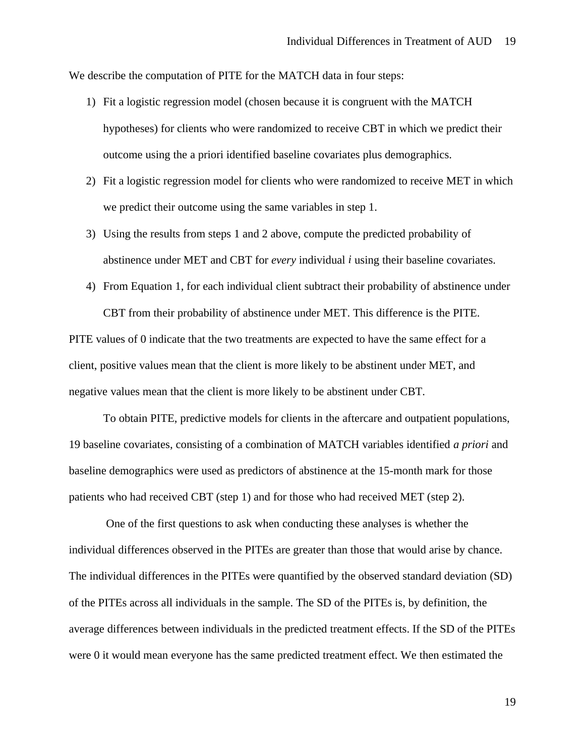We describe the computation of PITE for the MATCH data in four steps:

- 1) Fit a logistic regression model (chosen because it is congruent with the MATCH hypotheses) for clients who were randomized to receive CBT in which we predict their outcome using the a priori identified baseline covariates plus demographics.
- 2) Fit a logistic regression model for clients who were randomized to receive MET in which we predict their outcome using the same variables in step 1.
- 3) Using the results from steps 1 and 2 above, compute the predicted probability of abstinence under MET and CBT for *every* individual *i* using their baseline covariates.
- 4) From Equation 1, for each individual client subtract their probability of abstinence under CBT from their probability of abstinence under MET. This difference is the PITE.

PITE values of 0 indicate that the two treatments are expected to have the same effect for a client, positive values mean that the client is more likely to be abstinent under MET, and negative values mean that the client is more likely to be abstinent under CBT.

To obtain PITE, predictive models for clients in the aftercare and outpatient populations, 19 baseline covariates, consisting of a combination of MATCH variables identified *a priori* and baseline demographics were used as predictors of abstinence at the 15-month mark for those patients who had received CBT (step 1) and for those who had received MET (step 2).

 One of the first questions to ask when conducting these analyses is whether the individual differences observed in the PITEs are greater than those that would arise by chance. The individual differences in the PITEs were quantified by the observed standard deviation (SD) of the PITEs across all individuals in the sample. The SD of the PITEs is, by definition, the average differences between individuals in the predicted treatment effects. If the SD of the PITEs were 0 it would mean everyone has the same predicted treatment effect. We then estimated the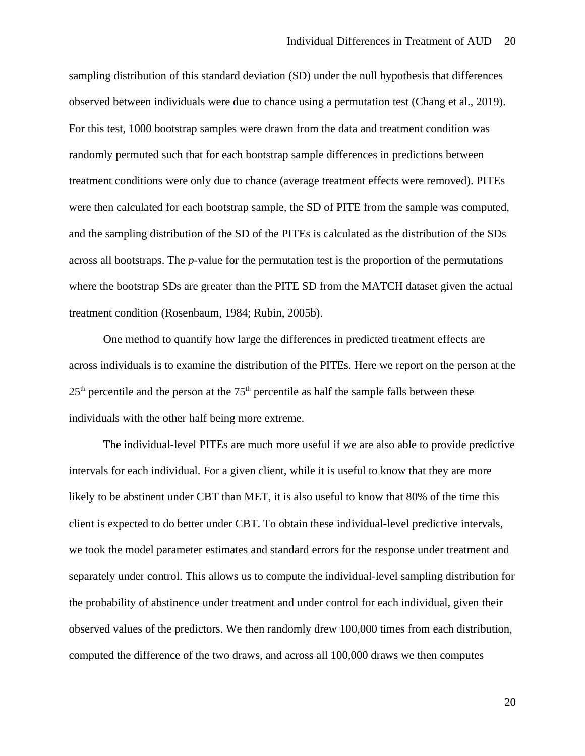sampling distribution of this standard deviation (SD) under the null hypothesis that differences observed between individuals were due to chance using a permutation test (Chang et al., 2019). For this test, 1000 bootstrap samples were drawn from the data and treatment condition was randomly permuted such that for each bootstrap sample differences in predictions between treatment conditions were only due to chance (average treatment effects were removed). PITEs were then calculated for each bootstrap sample, the SD of PITE from the sample was computed, and the sampling distribution of the SD of the PITEs is calculated as the distribution of the SDs across all bootstraps. The *p*-value for the permutation test is the proportion of the permutations where the bootstrap SDs are greater than the PITE SD from the MATCH dataset given the actual treatment condition (Rosenbaum, 1984; Rubin, 2005b).

One method to quantify how large the differences in predicted treatment effects are across individuals is to examine the distribution of the PITEs. Here we report on the person at the  $25<sup>th</sup>$  percentile and the person at the  $75<sup>th</sup>$  percentile as half the sample falls between these individuals with the other half being more extreme.

The individual-level PITEs are much more useful if we are also able to provide predictive intervals for each individual. For a given client, while it is useful to know that they are more likely to be abstinent under CBT than MET, it is also useful to know that 80% of the time this client is expected to do better under CBT. To obtain these individual-level predictive intervals, we took the model parameter estimates and standard errors for the response under treatment and separately under control. This allows us to compute the individual-level sampling distribution for the probability of abstinence under treatment and under control for each individual, given their observed values of the predictors. We then randomly drew 100,000 times from each distribution, computed the difference of the two draws, and across all 100,000 draws we then computes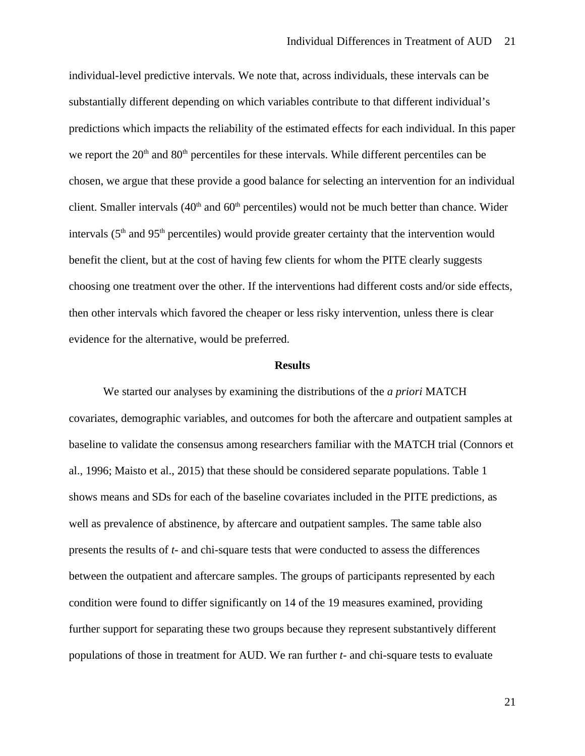individual-level predictive intervals. We note that, across individuals, these intervals can be substantially different depending on which variables contribute to that different individual's predictions which impacts the reliability of the estimated effects for each individual. In this paper we report the  $20<sup>th</sup>$  and  $80<sup>th</sup>$  percentiles for these intervals. While different percentiles can be chosen, we argue that these provide a good balance for selecting an intervention for an individual client. Smaller intervals ( $40<sup>th</sup>$  and  $60<sup>th</sup>$  percentiles) would not be much better than chance. Wider intervals ( $5<sup>th</sup>$  and  $95<sup>th</sup>$  percentiles) would provide greater certainty that the intervention would benefit the client, but at the cost of having few clients for whom the PITE clearly suggests choosing one treatment over the other. If the interventions had different costs and/or side effects, then other intervals which favored the cheaper or less risky intervention, unless there is clear evidence for the alternative, would be preferred.

## **Results**

We started our analyses by examining the distributions of the *a priori* MATCH covariates, demographic variables, and outcomes for both the aftercare and outpatient samples at baseline to validate the consensus among researchers familiar with the MATCH trial (Connors et al., 1996; Maisto et al., 2015) that these should be considered separate populations. Table 1 shows means and SDs for each of the baseline covariates included in the PITE predictions, as well as prevalence of abstinence, by aftercare and outpatient samples. The same table also presents the results of *t*- and chi-square tests that were conducted to assess the differences between the outpatient and aftercare samples. The groups of participants represented by each condition were found to differ significantly on 14 of the 19 measures examined, providing further support for separating these two groups because they represent substantively different populations of those in treatment for AUD. We ran further *t*- and chi-square tests to evaluate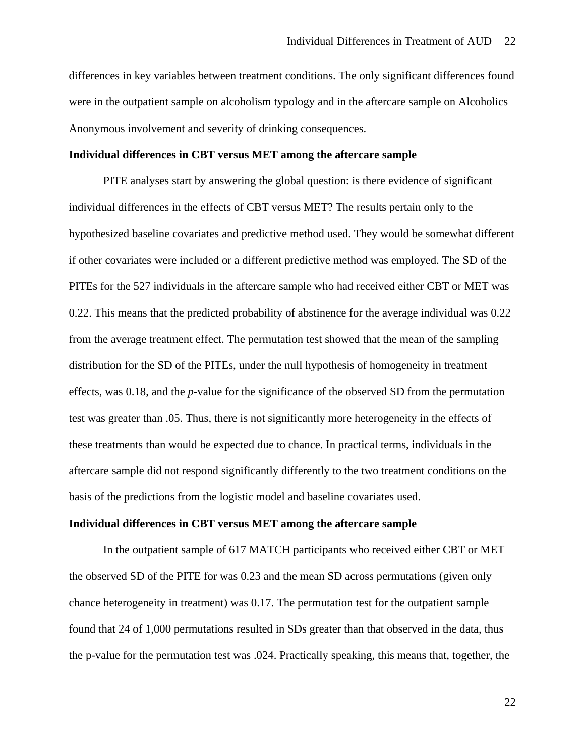differences in key variables between treatment conditions. The only significant differences found were in the outpatient sample on alcoholism typology and in the aftercare sample on Alcoholics Anonymous involvement and severity of drinking consequences.

## **Individual differences in CBT versus MET among the aftercare sample**

PITE analyses start by answering the global question: is there evidence of significant individual differences in the effects of CBT versus MET? The results pertain only to the hypothesized baseline covariates and predictive method used. They would be somewhat different if other covariates were included or a different predictive method was employed. The SD of the PITEs for the 527 individuals in the aftercare sample who had received either CBT or MET was 0.22. This means that the predicted probability of abstinence for the average individual was 0.22 from the average treatment effect. The permutation test showed that the mean of the sampling distribution for the SD of the PITEs, under the null hypothesis of homogeneity in treatment effects, was 0.18, and the *p*-value for the significance of the observed SD from the permutation test was greater than .05. Thus, there is not significantly more heterogeneity in the effects of these treatments than would be expected due to chance. In practical terms, individuals in the aftercare sample did not respond significantly differently to the two treatment conditions on the basis of the predictions from the logistic model and baseline covariates used.

## **Individual differences in CBT versus MET among the aftercare sample**

In the outpatient sample of 617 MATCH participants who received either CBT or MET the observed SD of the PITE for was 0.23 and the mean SD across permutations (given only chance heterogeneity in treatment) was 0.17. The permutation test for the outpatient sample found that 24 of 1,000 permutations resulted in SDs greater than that observed in the data, thus the p-value for the permutation test was .024. Practically speaking, this means that, together, the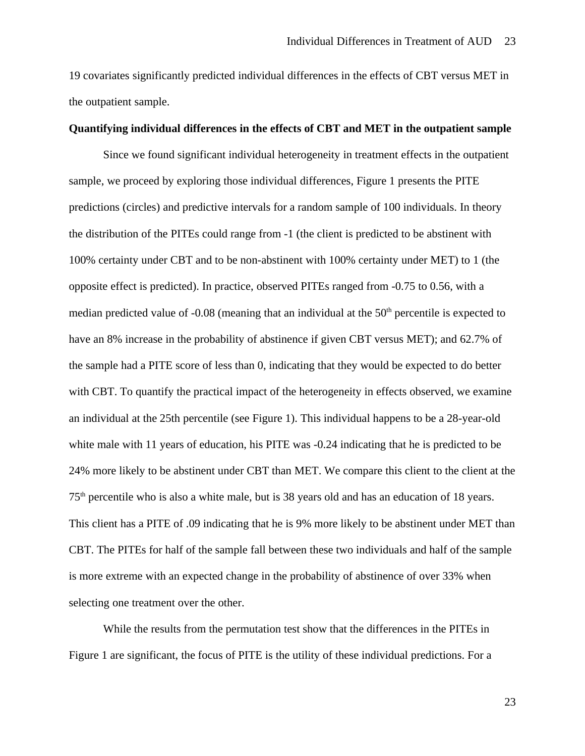19 covariates significantly predicted individual differences in the effects of CBT versus MET in the outpatient sample.

## **Quantifying individual differences in the effects of CBT and MET in the outpatient sample**

Since we found significant individual heterogeneity in treatment effects in the outpatient sample, we proceed by exploring those individual differences, Figure 1 presents the PITE predictions (circles) and predictive intervals for a random sample of 100 individuals. In theory the distribution of the PITEs could range from -1 (the client is predicted to be abstinent with 100% certainty under CBT and to be non-abstinent with 100% certainty under MET) to 1 (the opposite effect is predicted). In practice, observed PITEs ranged from -0.75 to 0.56, with a median predicted value of -0.08 (meaning that an individual at the 50<sup>th</sup> percentile is expected to have an 8% increase in the probability of abstinence if given CBT versus MET); and 62.7% of the sample had a PITE score of less than 0, indicating that they would be expected to do better with CBT. To quantify the practical impact of the heterogeneity in effects observed, we examine an individual at the 25th percentile (see Figure 1). This individual happens to be a 28-year-old white male with 11 years of education, his PITE was -0.24 indicating that he is predicted to be 24% more likely to be abstinent under CBT than MET. We compare this client to the client at the 75th percentile who is also a white male, but is 38 years old and has an education of 18 years. This client has a PITE of .09 indicating that he is 9% more likely to be abstinent under MET than CBT. The PITEs for half of the sample fall between these two individuals and half of the sample is more extreme with an expected change in the probability of abstinence of over 33% when selecting one treatment over the other.

While the results from the permutation test show that the differences in the PITEs in Figure 1 are significant, the focus of PITE is the utility of these individual predictions. For a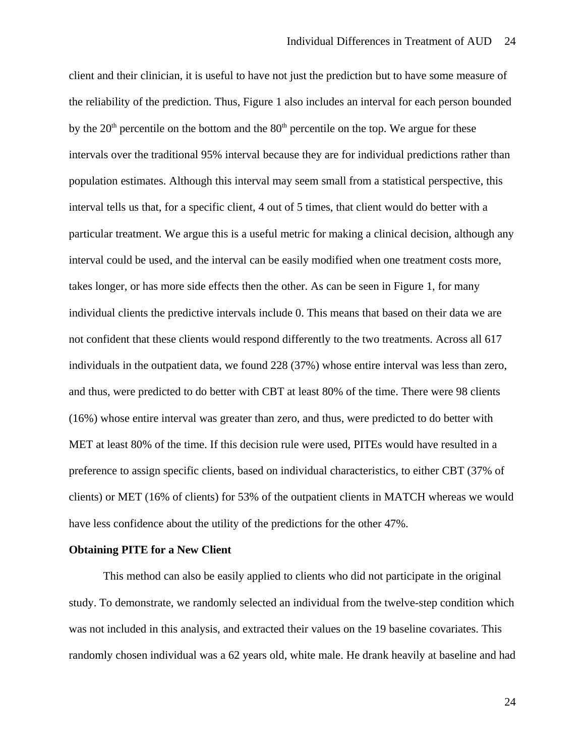client and their clinician, it is useful to have not just the prediction but to have some measure of the reliability of the prediction. Thus, Figure 1 also includes an interval for each person bounded by the  $20<sup>th</sup>$  percentile on the bottom and the  $80<sup>th</sup>$  percentile on the top. We argue for these intervals over the traditional 95% interval because they are for individual predictions rather than population estimates. Although this interval may seem small from a statistical perspective, this interval tells us that, for a specific client, 4 out of 5 times, that client would do better with a particular treatment. We argue this is a useful metric for making a clinical decision, although any interval could be used, and the interval can be easily modified when one treatment costs more, takes longer, or has more side effects then the other. As can be seen in Figure 1, for many individual clients the predictive intervals include 0. This means that based on their data we are not confident that these clients would respond differently to the two treatments. Across all 617 individuals in the outpatient data, we found 228 (37%) whose entire interval was less than zero, and thus, were predicted to do better with CBT at least 80% of the time. There were 98 clients (16%) whose entire interval was greater than zero, and thus, were predicted to do better with MET at least 80% of the time. If this decision rule were used, PITEs would have resulted in a preference to assign specific clients, based on individual characteristics, to either CBT (37% of clients) or MET (16% of clients) for 53% of the outpatient clients in MATCH whereas we would have less confidence about the utility of the predictions for the other 47%.

#### **Obtaining PITE for a New Client**

This method can also be easily applied to clients who did not participate in the original study. To demonstrate, we randomly selected an individual from the twelve-step condition which was not included in this analysis, and extracted their values on the 19 baseline covariates. This randomly chosen individual was a 62 years old, white male. He drank heavily at baseline and had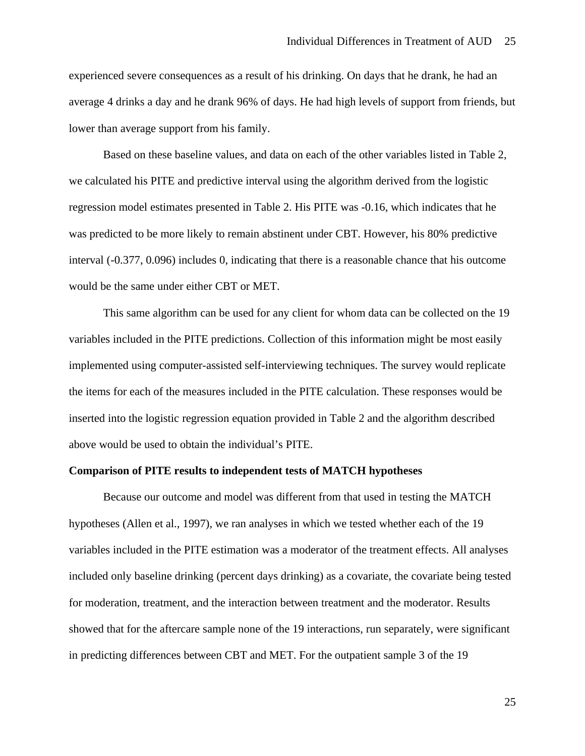experienced severe consequences as a result of his drinking. On days that he drank, he had an average 4 drinks a day and he drank 96% of days. He had high levels of support from friends, but lower than average support from his family.

Based on these baseline values, and data on each of the other variables listed in Table 2, we calculated his PITE and predictive interval using the algorithm derived from the logistic regression model estimates presented in Table 2. His PITE was -0.16, which indicates that he was predicted to be more likely to remain abstinent under CBT. However, his 80% predictive interval (-0.377, 0.096) includes 0, indicating that there is a reasonable chance that his outcome would be the same under either CBT or MET.

This same algorithm can be used for any client for whom data can be collected on the 19 variables included in the PITE predictions. Collection of this information might be most easily implemented using computer-assisted self-interviewing techniques. The survey would replicate the items for each of the measures included in the PITE calculation. These responses would be inserted into the logistic regression equation provided in Table 2 and the algorithm described above would be used to obtain the individual's PITE.

## **Comparison of PITE results to independent tests of MATCH hypotheses**

Because our outcome and model was different from that used in testing the MATCH hypotheses (Allen et al., 1997), we ran analyses in which we tested whether each of the 19 variables included in the PITE estimation was a moderator of the treatment effects. All analyses included only baseline drinking (percent days drinking) as a covariate, the covariate being tested for moderation, treatment, and the interaction between treatment and the moderator. Results showed that for the aftercare sample none of the 19 interactions, run separately, were significant in predicting differences between CBT and MET. For the outpatient sample 3 of the 19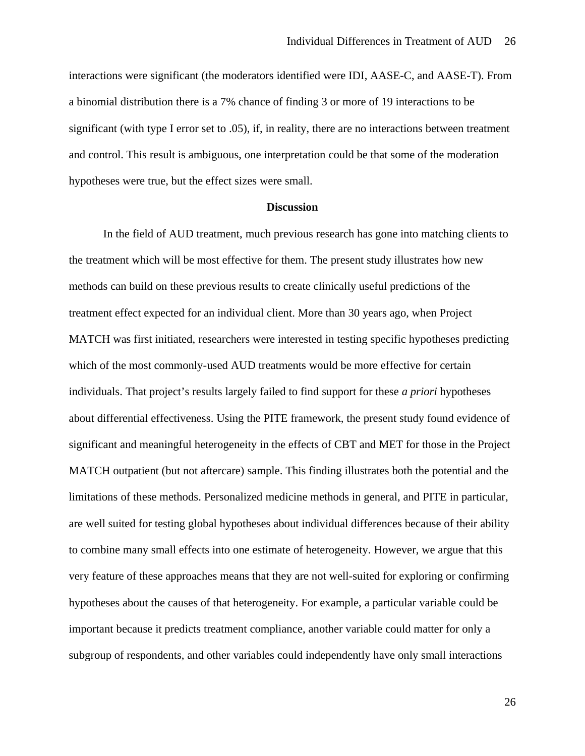interactions were significant (the moderators identified were IDI, AASE-C, and AASE-T). From a binomial distribution there is a 7% chance of finding 3 or more of 19 interactions to be significant (with type I error set to .05), if, in reality, there are no interactions between treatment and control. This result is ambiguous, one interpretation could be that some of the moderation hypotheses were true, but the effect sizes were small.

#### **Discussion**

In the field of AUD treatment, much previous research has gone into matching clients to the treatment which will be most effective for them. The present study illustrates how new methods can build on these previous results to create clinically useful predictions of the treatment effect expected for an individual client. More than 30 years ago, when Project MATCH was first initiated, researchers were interested in testing specific hypotheses predicting which of the most commonly-used AUD treatments would be more effective for certain individuals. That project's results largely failed to find support for these *a priori* hypotheses about differential effectiveness. Using the PITE framework, the present study found evidence of significant and meaningful heterogeneity in the effects of CBT and MET for those in the Project MATCH outpatient (but not aftercare) sample. This finding illustrates both the potential and the limitations of these methods. Personalized medicine methods in general, and PITE in particular, are well suited for testing global hypotheses about individual differences because of their ability to combine many small effects into one estimate of heterogeneity. However, we argue that this very feature of these approaches means that they are not well-suited for exploring or confirming hypotheses about the causes of that heterogeneity. For example, a particular variable could be important because it predicts treatment compliance, another variable could matter for only a subgroup of respondents, and other variables could independently have only small interactions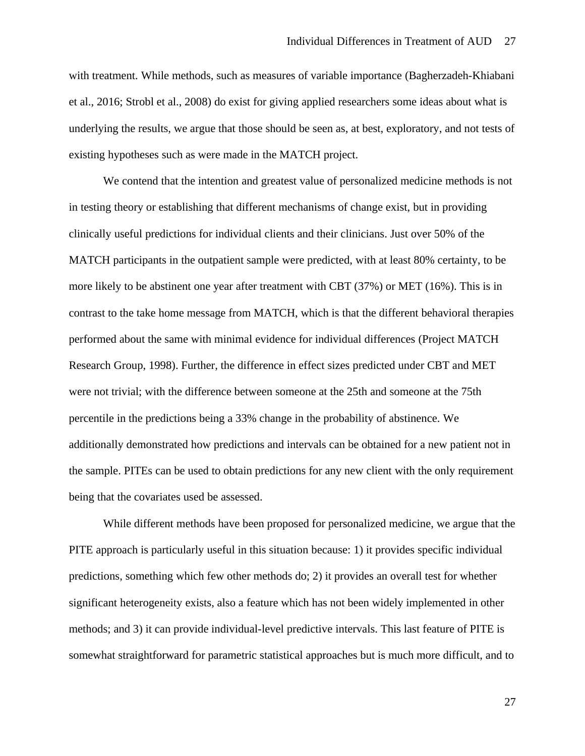with treatment. While methods, such as measures of variable importance (Bagherzadeh-Khiabani et al., 2016; Strobl et al., 2008) do exist for giving applied researchers some ideas about what is underlying the results, we argue that those should be seen as, at best, exploratory, and not tests of existing hypotheses such as were made in the MATCH project.

We contend that the intention and greatest value of personalized medicine methods is not in testing theory or establishing that different mechanisms of change exist, but in providing clinically useful predictions for individual clients and their clinicians. Just over 50% of the MATCH participants in the outpatient sample were predicted, with at least 80% certainty, to be more likely to be abstinent one year after treatment with CBT (37%) or MET (16%). This is in contrast to the take home message from MATCH, which is that the different behavioral therapies performed about the same with minimal evidence for individual differences (Project MATCH Research Group, 1998). Further, the difference in effect sizes predicted under CBT and MET were not trivial; with the difference between someone at the 25th and someone at the 75th percentile in the predictions being a 33% change in the probability of abstinence. We additionally demonstrated how predictions and intervals can be obtained for a new patient not in the sample. PITEs can be used to obtain predictions for any new client with the only requirement being that the covariates used be assessed.

While different methods have been proposed for personalized medicine, we argue that the PITE approach is particularly useful in this situation because: 1) it provides specific individual predictions, something which few other methods do; 2) it provides an overall test for whether significant heterogeneity exists, also a feature which has not been widely implemented in other methods; and 3) it can provide individual-level predictive intervals. This last feature of PITE is somewhat straightforward for parametric statistical approaches but is much more difficult, and to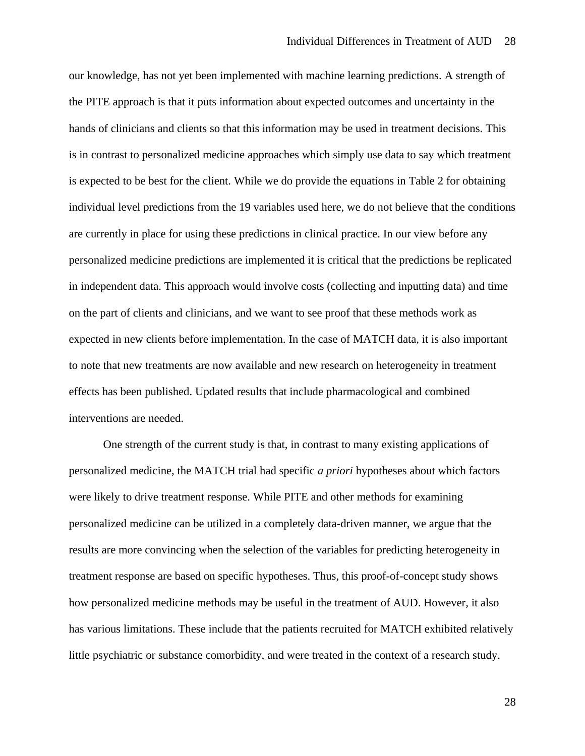our knowledge, has not yet been implemented with machine learning predictions. A strength of the PITE approach is that it puts information about expected outcomes and uncertainty in the hands of clinicians and clients so that this information may be used in treatment decisions. This is in contrast to personalized medicine approaches which simply use data to say which treatment is expected to be best for the client. While we do provide the equations in Table 2 for obtaining individual level predictions from the 19 variables used here, we do not believe that the conditions are currently in place for using these predictions in clinical practice. In our view before any personalized medicine predictions are implemented it is critical that the predictions be replicated in independent data. This approach would involve costs (collecting and inputting data) and time on the part of clients and clinicians, and we want to see proof that these methods work as expected in new clients before implementation. In the case of MATCH data, it is also important to note that new treatments are now available and new research on heterogeneity in treatment effects has been published. Updated results that include pharmacological and combined interventions are needed.

One strength of the current study is that, in contrast to many existing applications of personalized medicine, the MATCH trial had specific *a priori* hypotheses about which factors were likely to drive treatment response. While PITE and other methods for examining personalized medicine can be utilized in a completely data-driven manner, we argue that the results are more convincing when the selection of the variables for predicting heterogeneity in treatment response are based on specific hypotheses. Thus, this proof-of-concept study shows how personalized medicine methods may be useful in the treatment of AUD. However, it also has various limitations. These include that the patients recruited for MATCH exhibited relatively little psychiatric or substance comorbidity, and were treated in the context of a research study.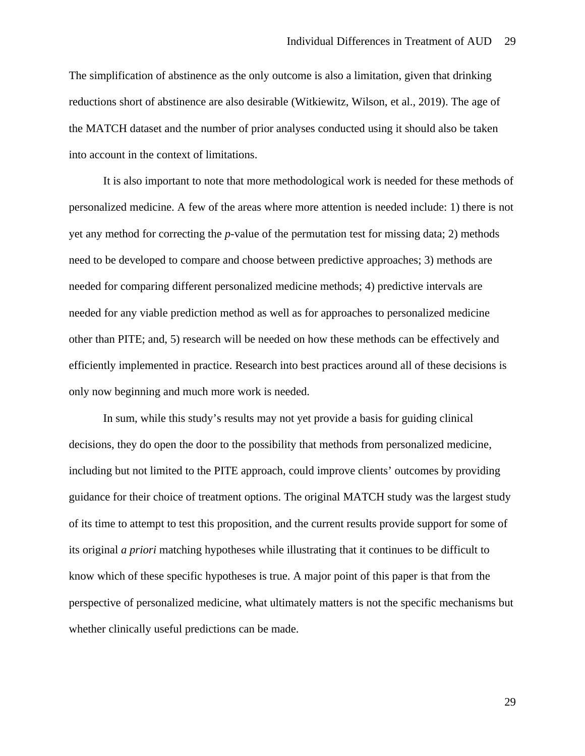The simplification of abstinence as the only outcome is also a limitation, given that drinking reductions short of abstinence are also desirable (Witkiewitz, Wilson, et al., 2019). The age of the MATCH dataset and the number of prior analyses conducted using it should also be taken into account in the context of limitations.

It is also important to note that more methodological work is needed for these methods of personalized medicine. A few of the areas where more attention is needed include: 1) there is not yet any method for correcting the *p*-value of the permutation test for missing data; 2) methods need to be developed to compare and choose between predictive approaches; 3) methods are needed for comparing different personalized medicine methods; 4) predictive intervals are needed for any viable prediction method as well as for approaches to personalized medicine other than PITE; and, 5) research will be needed on how these methods can be effectively and efficiently implemented in practice. Research into best practices around all of these decisions is only now beginning and much more work is needed.

In sum, while this study's results may not yet provide a basis for guiding clinical decisions, they do open the door to the possibility that methods from personalized medicine, including but not limited to the PITE approach, could improve clients' outcomes by providing guidance for their choice of treatment options. The original MATCH study was the largest study of its time to attempt to test this proposition, and the current results provide support for some of its original *a priori* matching hypotheses while illustrating that it continues to be difficult to know which of these specific hypotheses is true. A major point of this paper is that from the perspective of personalized medicine, what ultimately matters is not the specific mechanisms but whether clinically useful predictions can be made.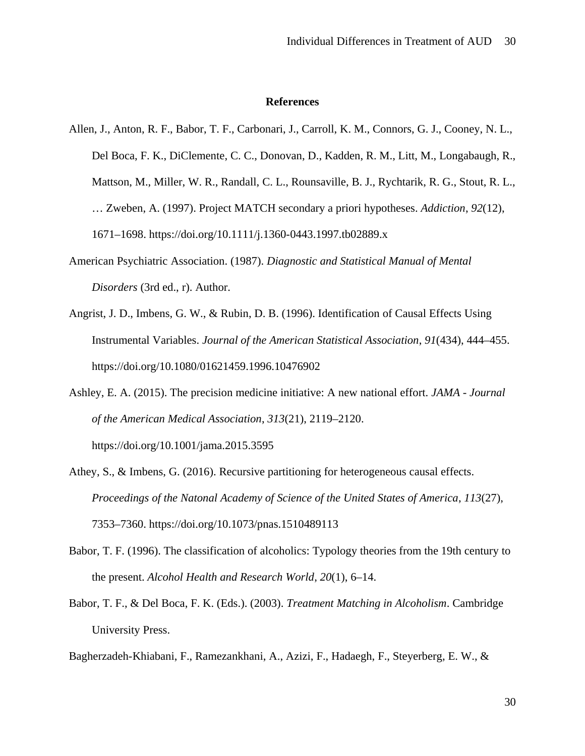## **References**

- Allen, J., Anton, R. F., Babor, T. F., Carbonari, J., Carroll, K. M., Connors, G. J., Cooney, N. L., Del Boca, F. K., DiClemente, C. C., Donovan, D., Kadden, R. M., Litt, M., Longabaugh, R., Mattson, M., Miller, W. R., Randall, C. L., Rounsaville, B. J., Rychtarik, R. G., Stout, R. L., … Zweben, A. (1997). Project MATCH secondary a priori hypotheses. *Addiction*, *92*(12), 1671–1698. https://doi.org/10.1111/j.1360-0443.1997.tb02889.x
- American Psychiatric Association. (1987). *Diagnostic and Statistical Manual of Mental Disorders* (3rd ed., r). Author.
- Angrist, J. D., Imbens, G. W., & Rubin, D. B. (1996). Identification of Causal Effects Using Instrumental Variables. *Journal of the American Statistical Association*, *91*(434), 444–455. https://doi.org/10.1080/01621459.1996.10476902
- Ashley, E. A. (2015). The precision medicine initiative: A new national effort. *JAMA Journal of the American Medical Association*, *313*(21), 2119–2120. https://doi.org/10.1001/jama.2015.3595
- Athey, S., & Imbens, G. (2016). Recursive partitioning for heterogeneous causal effects. *Proceedings of the Natonal Academy of Science of the United States of America*, *113*(27), 7353–7360. https://doi.org/10.1073/pnas.1510489113
- Babor, T. F. (1996). The classification of alcoholics: Typology theories from the 19th century to the present. *Alcohol Health and Research World*, *20*(1), 6–14.
- Babor, T. F., & Del Boca, F. K. (Eds.). (2003). *Treatment Matching in Alcoholism*. Cambridge University Press.
- Bagherzadeh-Khiabani, F., Ramezankhani, A., Azizi, F., Hadaegh, F., Steyerberg, E. W., &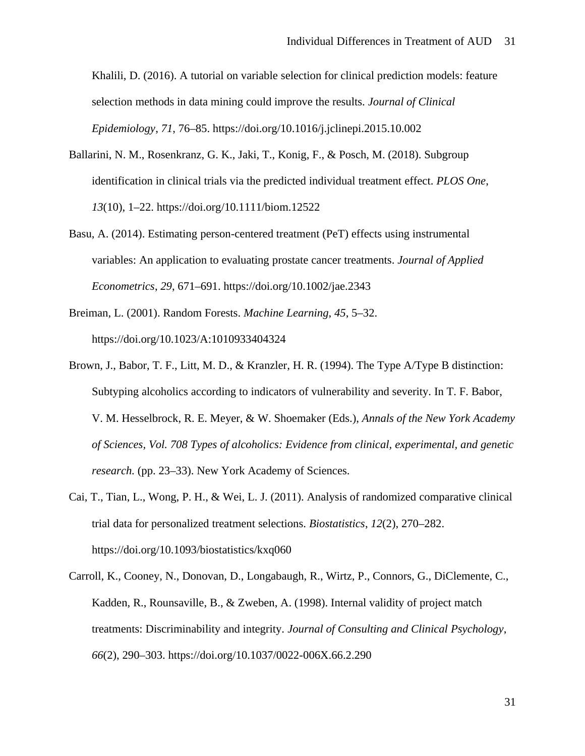Khalili, D. (2016). A tutorial on variable selection for clinical prediction models: feature selection methods in data mining could improve the results. *Journal of Clinical Epidemiology*, *71*, 76–85. https://doi.org/10.1016/j.jclinepi.2015.10.002

- Ballarini, N. M., Rosenkranz, G. K., Jaki, T., Konig, F., & Posch, M. (2018). Subgroup identification in clinical trials via the predicted individual treatment effect. *PLOS One*, *13*(10), 1–22. https://doi.org/10.1111/biom.12522
- Basu, A. (2014). Estimating person-centered treatment (PeT) effects using instrumental variables: An application to evaluating prostate cancer treatments. *Journal of Applied Econometrics*, *29*, 671–691. https://doi.org/10.1002/jae.2343
- Breiman, L. (2001). Random Forests. *Machine Learning*, *45*, 5–32. https://doi.org/10.1023/A:1010933404324
- Brown, J., Babor, T. F., Litt, M. D., & Kranzler, H. R. (1994). The Type A/Type B distinction: Subtyping alcoholics according to indicators of vulnerability and severity. In T. F. Babor, V. M. Hesselbrock, R. E. Meyer, & W. Shoemaker (Eds.), *Annals of the New York Academy of Sciences, Vol. 708 Types of alcoholics: Evidence from clinical, experimental, and genetic research.* (pp. 23–33). New York Academy of Sciences.
- Cai, T., Tian, L., Wong, P. H., & Wei, L. J. (2011). Analysis of randomized comparative clinical trial data for personalized treatment selections. *Biostatistics*, *12*(2), 270–282. https://doi.org/10.1093/biostatistics/kxq060
- Carroll, K., Cooney, N., Donovan, D., Longabaugh, R., Wirtz, P., Connors, G., DiClemente, C., Kadden, R., Rounsaville, B., & Zweben, A. (1998). Internal validity of project match treatments: Discriminability and integrity. *Journal of Consulting and Clinical Psychology*, *66*(2), 290–303. https://doi.org/10.1037/0022-006X.66.2.290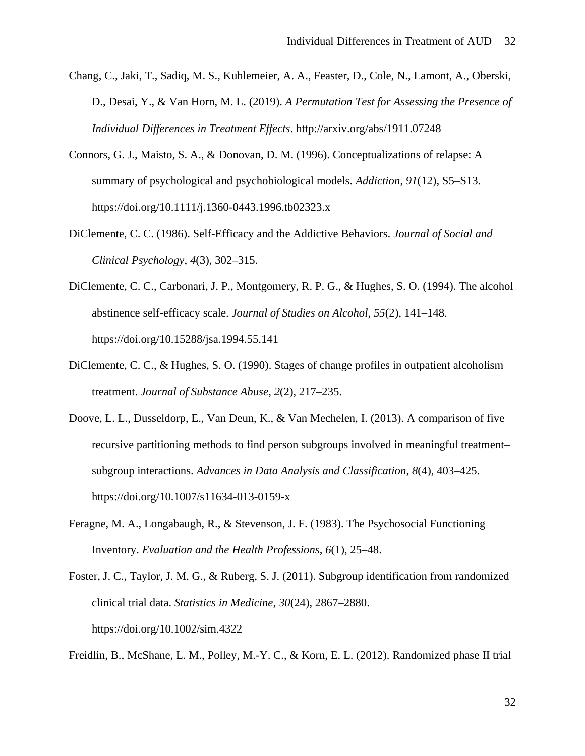- Chang, C., Jaki, T., Sadiq, M. S., Kuhlemeier, A. A., Feaster, D., Cole, N., Lamont, A., Oberski, D., Desai, Y., & Van Horn, M. L. (2019). *A Permutation Test for Assessing the Presence of Individual Differences in Treatment Effects*. http://arxiv.org/abs/1911.07248
- Connors, G. J., Maisto, S. A., & Donovan, D. M. (1996). Conceptualizations of relapse: A summary of psychological and psychobiological models. *Addiction*, *91*(12), S5–S13. https://doi.org/10.1111/j.1360-0443.1996.tb02323.x
- DiClemente, C. C. (1986). Self-Efficacy and the Addictive Behaviors. *Journal of Social and Clinical Psychology*, *4*(3), 302–315.
- DiClemente, C. C., Carbonari, J. P., Montgomery, R. P. G., & Hughes, S. O. (1994). The alcohol abstinence self-efficacy scale. *Journal of Studies on Alcohol*, *55*(2), 141–148. https://doi.org/10.15288/jsa.1994.55.141
- DiClemente, C. C., & Hughes, S. O. (1990). Stages of change profiles in outpatient alcoholism treatment. *Journal of Substance Abuse*, *2*(2), 217–235.
- Doove, L. L., Dusseldorp, E., Van Deun, K., & Van Mechelen, I. (2013). A comparison of five recursive partitioning methods to find person subgroups involved in meaningful treatment– subgroup interactions. *Advances in Data Analysis and Classification*, *8*(4), 403–425. https://doi.org/10.1007/s11634-013-0159-x
- Feragne, M. A., Longabaugh, R., & Stevenson, J. F. (1983). The Psychosocial Functioning Inventory. *Evaluation and the Health Professions*, *6*(1), 25–48.
- Foster, J. C., Taylor, J. M. G., & Ruberg, S. J. (2011). Subgroup identification from randomized clinical trial data. *Statistics in Medicine*, *30*(24), 2867–2880. https://doi.org/10.1002/sim.4322

Freidlin, B., McShane, L. M., Polley, M.-Y. C., & Korn, E. L. (2012). Randomized phase II trial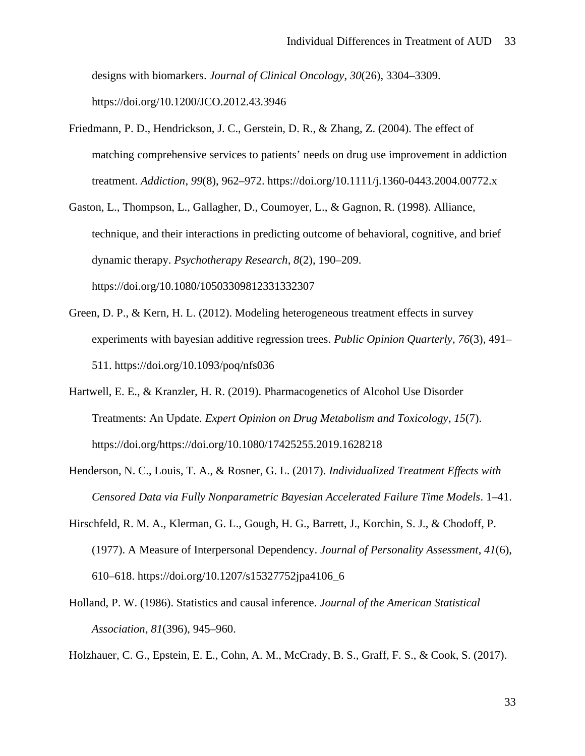designs with biomarkers. *Journal of Clinical Oncology*, *30*(26), 3304–3309. https://doi.org/10.1200/JCO.2012.43.3946

- Friedmann, P. D., Hendrickson, J. C., Gerstein, D. R., & Zhang, Z. (2004). The effect of matching comprehensive services to patients' needs on drug use improvement in addiction treatment. *Addiction*, *99*(8), 962–972. https://doi.org/10.1111/j.1360-0443.2004.00772.x
- Gaston, L., Thompson, L., Gallagher, D., Coumoyer, L., & Gagnon, R. (1998). Alliance, technique, and their interactions in predicting outcome of behavioral, cognitive, and brief dynamic therapy. *Psychotherapy Research*, *8*(2), 190–209. https://doi.org/10.1080/10503309812331332307
- Green, D. P., & Kern, H. L. (2012). Modeling heterogeneous treatment effects in survey experiments with bayesian additive regression trees. *Public Opinion Quarterly*, *76*(3), 491– 511. https://doi.org/10.1093/poq/nfs036
- Hartwell, E. E., & Kranzler, H. R. (2019). Pharmacogenetics of Alcohol Use Disorder Treatments: An Update. *Expert Opinion on Drug Metabolism and Toxicology*, *15*(7). https://doi.org/https://doi.org/10.1080/17425255.2019.1628218
- Henderson, N. C., Louis, T. A., & Rosner, G. L. (2017). *Individualized Treatment Effects with Censored Data via Fully Nonparametric Bayesian Accelerated Failure Time Models*. 1–41.
- Hirschfeld, R. M. A., Klerman, G. L., Gough, H. G., Barrett, J., Korchin, S. J., & Chodoff, P. (1977). A Measure of Interpersonal Dependency. *Journal of Personality Assessment*, *41*(6), 610–618. https://doi.org/10.1207/s15327752jpa4106\_6
- Holland, P. W. (1986). Statistics and causal inference. *Journal of the American Statistical Association*, *81*(396), 945–960.

Holzhauer, C. G., Epstein, E. E., Cohn, A. M., McCrady, B. S., Graff, F. S., & Cook, S. (2017).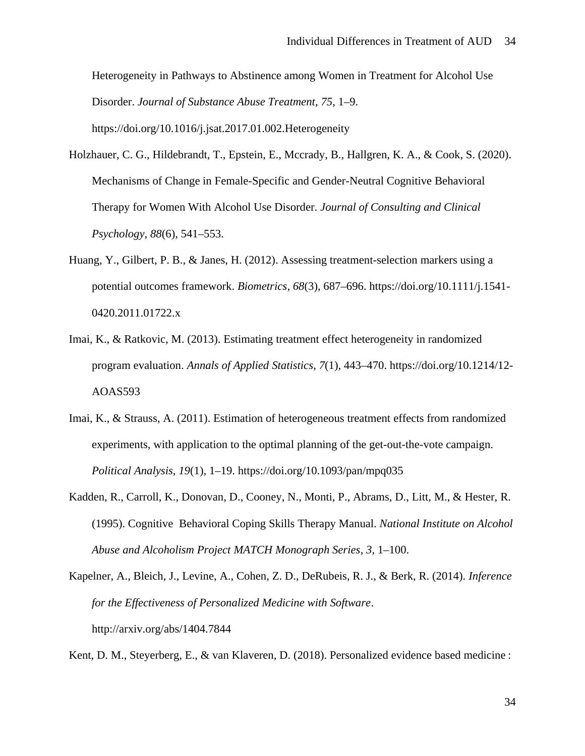Heterogeneity in Pathways to Abstinence among Women in Treatment for Alcohol Use Disorder. *Journal of Substance Abuse Treatment*, *75*, 1–9. https://doi.org/10.1016/j.jsat.2017.01.002.Heterogeneity

- Holzhauer, C. G., Hildebrandt, T., Epstein, E., Mccrady, B., Hallgren, K. A., & Cook, S. (2020). Mechanisms of Change in Female-Specific and Gender-Neutral Cognitive Behavioral Therapy for Women With Alcohol Use Disorder. *Journal of Consulting and Clinical Psychology*, *88*(6), 541–553.
- Huang, Y., Gilbert, P. B., & Janes, H. (2012). Assessing treatment-selection markers using a potential outcomes framework. *Biometrics*, *68*(3), 687–696. https://doi.org/10.1111/j.1541- 0420.2011.01722.x
- Imai, K., & Ratkovic, M. (2013). Estimating treatment effect heterogeneity in randomized program evaluation. *Annals of Applied Statistics*, *7*(1), 443–470. https://doi.org/10.1214/12- AOAS593
- Imai, K., & Strauss, A. (2011). Estimation of heterogeneous treatment effects from randomized experiments, with application to the optimal planning of the get-out-the-vote campaign. *Political Analysis*, *19*(1), 1–19. https://doi.org/10.1093/pan/mpq035
- Kadden, R., Carroll, K., Donovan, D., Cooney, N., Monti, P., Abrams, D., Litt, M., & Hester, R. (1995). Cognitive Behavioral Coping Skills Therapy Manual. *National Institute on Alcohol Abuse and Alcoholism Project MATCH Monograph Series*, *3*, 1–100.
- Kapelner, A., Bleich, J., Levine, A., Cohen, Z. D., DeRubeis, R. J., & Berk, R. (2014). *Inference for the Effectiveness of Personalized Medicine with Software*. http://arxiv.org/abs/1404.7844

Kent, D. M., Steyerberg, E., & van Klaveren, D. (2018). Personalized evidence based medicine :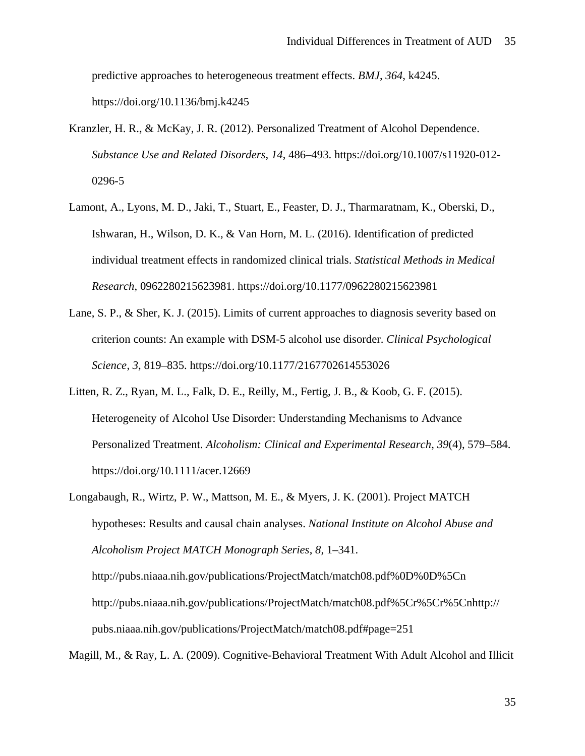predictive approaches to heterogeneous treatment effects. *BMJ*, *364*, k4245. https://doi.org/10.1136/bmj.k4245

- Kranzler, H. R., & McKay, J. R. (2012). Personalized Treatment of Alcohol Dependence. *Substance Use and Related Disorders*, *14*, 486–493. https://doi.org/10.1007/s11920-012- 0296-5
- Lamont, A., Lyons, M. D., Jaki, T., Stuart, E., Feaster, D. J., Tharmaratnam, K., Oberski, D., Ishwaran, H., Wilson, D. K., & Van Horn, M. L. (2016). Identification of predicted individual treatment effects in randomized clinical trials. *Statistical Methods in Medical Research*, 0962280215623981. https://doi.org/10.1177/0962280215623981
- Lane, S. P., & Sher, K. J. (2015). Limits of current approaches to diagnosis severity based on criterion counts: An example with DSM-5 alcohol use disorder. *Clinical Psychological Science*, *3*, 819–835. https://doi.org/10.1177/2167702614553026
- Litten, R. Z., Ryan, M. L., Falk, D. E., Reilly, M., Fertig, J. B., & Koob, G. F. (2015). Heterogeneity of Alcohol Use Disorder: Understanding Mechanisms to Advance Personalized Treatment. *Alcoholism: Clinical and Experimental Research*, *39*(4), 579–584. https://doi.org/10.1111/acer.12669

Longabaugh, R., Wirtz, P. W., Mattson, M. E., & Myers, J. K. (2001). Project MATCH hypotheses: Results and causal chain analyses. *National Institute on Alcohol Abuse and Alcoholism Project MATCH Monograph Series*, *8*, 1–341. http://pubs.niaaa.nih.gov/publications/ProjectMatch/match08.pdf%0D%0D%5Cn http://pubs.niaaa.nih.gov/publications/ProjectMatch/match08.pdf%5Cr%5Cr%5Cnhttp:// pubs.niaaa.nih.gov/publications/ProjectMatch/match08.pdf#page=251

Magill, M., & Ray, L. A. (2009). Cognitive-Behavioral Treatment With Adult Alcohol and Illicit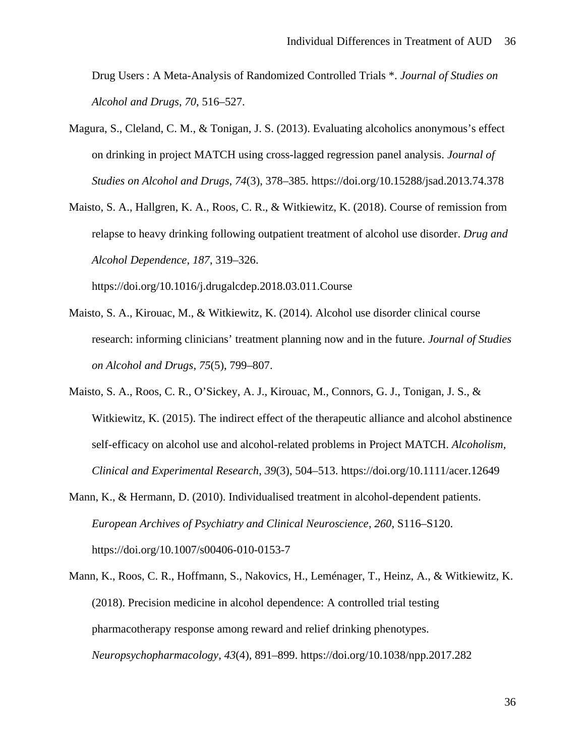Drug Users : A Meta-Analysis of Randomized Controlled Trials \*. *Journal of Studies on Alcohol and Drugs*, *70*, 516–527.

- Magura, S., Cleland, C. M., & Tonigan, J. S. (2013). Evaluating alcoholics anonymous's effect on drinking in project MATCH using cross-lagged regression panel analysis. *Journal of Studies on Alcohol and Drugs*, *74*(3), 378–385. https://doi.org/10.15288/jsad.2013.74.378
- Maisto, S. A., Hallgren, K. A., Roos, C. R., & Witkiewitz, K. (2018). Course of remission from relapse to heavy drinking following outpatient treatment of alcohol use disorder. *Drug and Alcohol Dependence*, *187*, 319–326.

https://doi.org/10.1016/j.drugalcdep.2018.03.011.Course

- Maisto, S. A., Kirouac, M., & Witkiewitz, K. (2014). Alcohol use disorder clinical course research: informing clinicians' treatment planning now and in the future. *Journal of Studies on Alcohol and Drugs*, *75*(5), 799–807.
- Maisto, S. A., Roos, C. R., O'Sickey, A. J., Kirouac, M., Connors, G. J., Tonigan, J. S., & Witkiewitz, K. (2015). The indirect effect of the therapeutic alliance and alcohol abstinence self-efficacy on alcohol use and alcohol-related problems in Project MATCH. *Alcoholism, Clinical and Experimental Research*, *39*(3), 504–513. https://doi.org/10.1111/acer.12649
- Mann, K., & Hermann, D. (2010). Individualised treatment in alcohol-dependent patients. *European Archives of Psychiatry and Clinical Neuroscience*, *260*, S116–S120. https://doi.org/10.1007/s00406-010-0153-7
- Mann, K., Roos, C. R., Hoffmann, S., Nakovics, H., Leménager, T., Heinz, A., & Witkiewitz, K. (2018). Precision medicine in alcohol dependence: A controlled trial testing pharmacotherapy response among reward and relief drinking phenotypes. *Neuropsychopharmacology*, *43*(4), 891–899. https://doi.org/10.1038/npp.2017.282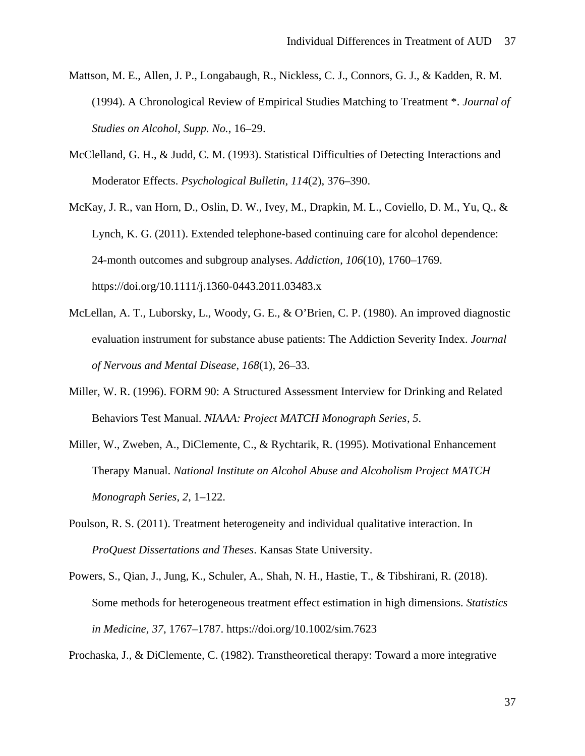- Mattson, M. E., Allen, J. P., Longabaugh, R., Nickless, C. J., Connors, G. J., & Kadden, R. M. (1994). A Chronological Review of Empirical Studies Matching to Treatment \*. *Journal of Studies on Alcohol*, *Supp. No.*, 16–29.
- McClelland, G. H., & Judd, C. M. (1993). Statistical Difficulties of Detecting Interactions and Moderator Effects. *Psychological Bulletin*, *114*(2), 376–390.
- McKay, J. R., van Horn, D., Oslin, D. W., Ivey, M., Drapkin, M. L., Coviello, D. M., Yu, Q., & Lynch, K. G. (2011). Extended telephone-based continuing care for alcohol dependence: 24-month outcomes and subgroup analyses. *Addiction*, *106*(10), 1760–1769. https://doi.org/10.1111/j.1360-0443.2011.03483.x
- McLellan, A. T., Luborsky, L., Woody, G. E., & O'Brien, C. P. (1980). An improved diagnostic evaluation instrument for substance abuse patients: The Addiction Severity Index. *Journal of Nervous and Mental Disease*, *168*(1), 26–33.
- Miller, W. R. (1996). FORM 90: A Structured Assessment Interview for Drinking and Related Behaviors Test Manual. *NIAAA: Project MATCH Monograph Series*, *5*.
- Miller, W., Zweben, A., DiClemente, C., & Rychtarik, R. (1995). Motivational Enhancement Therapy Manual. *National Institute on Alcohol Abuse and Alcoholism Project MATCH Monograph Series*, *2*, 1–122.
- Poulson, R. S. (2011). Treatment heterogeneity and individual qualitative interaction. In *ProQuest Dissertations and Theses*. Kansas State University.
- Powers, S., Qian, J., Jung, K., Schuler, A., Shah, N. H., Hastie, T., & Tibshirani, R. (2018). Some methods for heterogeneous treatment effect estimation in high dimensions. *Statistics in Medicine*, *37*, 1767–1787. https://doi.org/10.1002/sim.7623

Prochaska, J., & DiClemente, C. (1982). Transtheoretical therapy: Toward a more integrative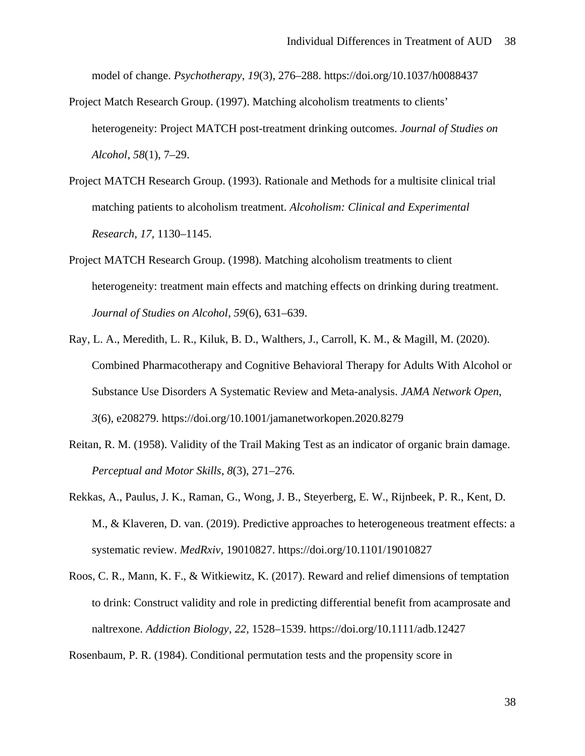model of change. *Psychotherapy*, *19*(3), 276–288. https://doi.org/10.1037/h0088437

- Project Match Research Group. (1997). Matching alcoholism treatments to clients' heterogeneity: Project MATCH post-treatment drinking outcomes. *Journal of Studies on Alcohol*, *58*(1), 7–29.
- Project MATCH Research Group. (1993). Rationale and Methods for a multisite clinical trial matching patients to alcoholism treatment. *Alcoholism: Clinical and Experimental Research*, *17*, 1130–1145.
- Project MATCH Research Group. (1998). Matching alcoholism treatments to client heterogeneity: treatment main effects and matching effects on drinking during treatment. *Journal of Studies on Alcohol*, *59*(6), 631–639.
- Ray, L. A., Meredith, L. R., Kiluk, B. D., Walthers, J., Carroll, K. M., & Magill, M. (2020). Combined Pharmacotherapy and Cognitive Behavioral Therapy for Adults With Alcohol or Substance Use Disorders A Systematic Review and Meta-analysis. *JAMA Network Open*, *3*(6), e208279. https://doi.org/10.1001/jamanetworkopen.2020.8279
- Reitan, R. M. (1958). Validity of the Trail Making Test as an indicator of organic brain damage. *Perceptual and Motor Skills*, *8*(3), 271–276.
- Rekkas, A., Paulus, J. K., Raman, G., Wong, J. B., Steyerberg, E. W., Rijnbeek, P. R., Kent, D. M., & Klaveren, D. van. (2019). Predictive approaches to heterogeneous treatment effects: a systematic review. *MedRxiv*, 19010827. https://doi.org/10.1101/19010827
- Roos, C. R., Mann, K. F., & Witkiewitz, K. (2017). Reward and relief dimensions of temptation to drink: Construct validity and role in predicting differential benefit from acamprosate and naltrexone. *Addiction Biology*, *22*, 1528–1539. https://doi.org/10.1111/adb.12427

Rosenbaum, P. R. (1984). Conditional permutation tests and the propensity score in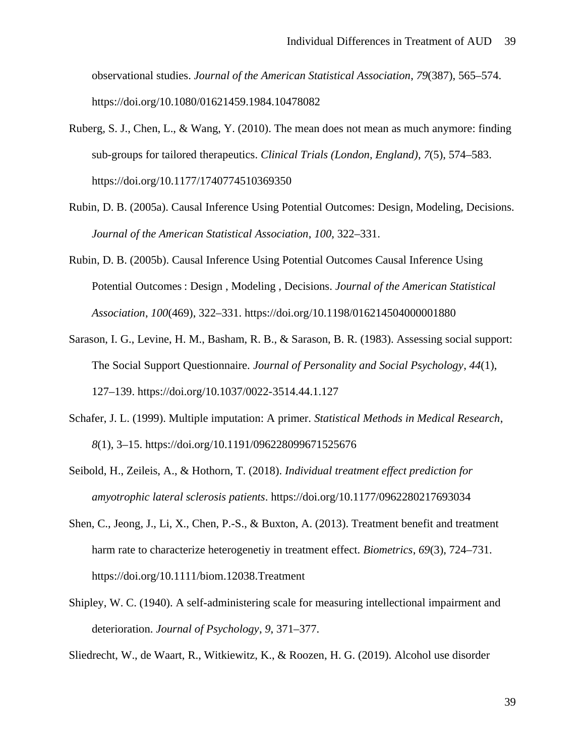observational studies. *Journal of the American Statistical Association*, *79*(387), 565–574. https://doi.org/10.1080/01621459.1984.10478082

- Ruberg, S. J., Chen, L., & Wang, Y. (2010). The mean does not mean as much anymore: finding sub-groups for tailored therapeutics. *Clinical Trials (London, England)*, *7*(5), 574–583. https://doi.org/10.1177/1740774510369350
- Rubin, D. B. (2005a). Causal Inference Using Potential Outcomes: Design, Modeling, Decisions. *Journal of the American Statistical Association*, *100*, 322–331.
- Rubin, D. B. (2005b). Causal Inference Using Potential Outcomes Causal Inference Using Potential Outcomes : Design , Modeling , Decisions. *Journal of the American Statistical Association*, *100*(469), 322–331. https://doi.org/10.1198/016214504000001880
- Sarason, I. G., Levine, H. M., Basham, R. B., & Sarason, B. R. (1983). Assessing social support: The Social Support Questionnaire. *Journal of Personality and Social Psychology*, *44*(1), 127–139. https://doi.org/10.1037/0022-3514.44.1.127
- Schafer, J. L. (1999). Multiple imputation: A primer. *Statistical Methods in Medical Research*, *8*(1), 3–15. https://doi.org/10.1191/096228099671525676
- Seibold, H., Zeileis, A., & Hothorn, T. (2018). *Individual treatment effect prediction for amyotrophic lateral sclerosis patients*. https://doi.org/10.1177/0962280217693034
- Shen, C., Jeong, J., Li, X., Chen, P.-S., & Buxton, A. (2013). Treatment benefit and treatment harm rate to characterize heterogenetiy in treatment effect. *Biometrics*, *69*(3), 724–731. https://doi.org/10.1111/biom.12038.Treatment
- Shipley, W. C. (1940). A self-administering scale for measuring intellectional impairment and deterioration. *Journal of Psychology*, *9*, 371–377.

Sliedrecht, W., de Waart, R., Witkiewitz, K., & Roozen, H. G. (2019). Alcohol use disorder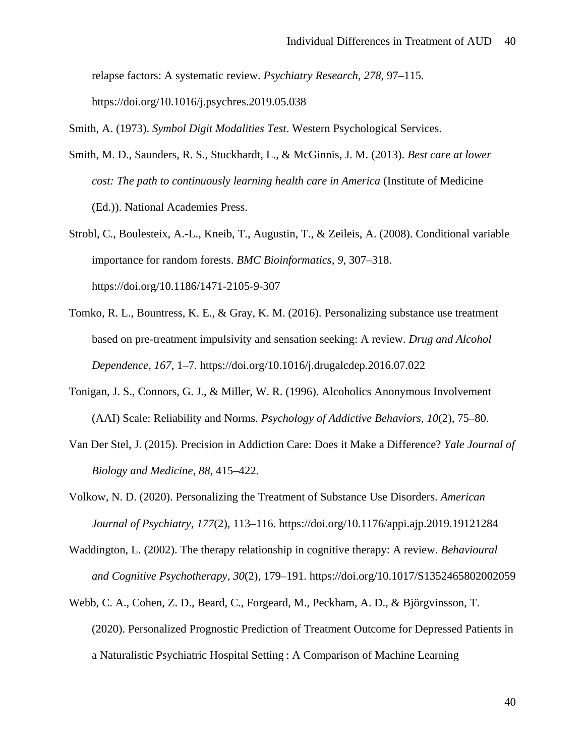relapse factors: A systematic review. *Psychiatry Research*, *278*, 97–115.

https://doi.org/10.1016/j.psychres.2019.05.038

Smith, A. (1973). *Symbol Digit Modalities Test*. Western Psychological Services.

- Smith, M. D., Saunders, R. S., Stuckhardt, L., & McGinnis, J. M. (2013). *Best care at lower cost: The path to continuously learning health care in America* (Institute of Medicine (Ed.)). National Academies Press.
- Strobl, C., Boulesteix, A.-L., Kneib, T., Augustin, T., & Zeileis, A. (2008). Conditional variable importance for random forests. *BMC Bioinformatics*, *9*, 307–318. https://doi.org/10.1186/1471-2105-9-307
- Tomko, R. L., Bountress, K. E., & Gray, K. M. (2016). Personalizing substance use treatment based on pre-treatment impulsivity and sensation seeking: A review. *Drug and Alcohol Dependence*, *167*, 1–7. https://doi.org/10.1016/j.drugalcdep.2016.07.022
- Tonigan, J. S., Connors, G. J., & Miller, W. R. (1996). Alcoholics Anonymous Involvement (AAI) Scale: Reliability and Norms. *Psychology of Addictive Behaviors*, *10*(2), 75–80.
- Van Der Stel, J. (2015). Precision in Addiction Care: Does it Make a Difference? *Yale Journal of Biology and Medicine*, *88*, 415–422.
- Volkow, N. D. (2020). Personalizing the Treatment of Substance Use Disorders. *American Journal of Psychiatry*, *177*(2), 113–116. https://doi.org/10.1176/appi.ajp.2019.19121284
- Waddington, L. (2002). The therapy relationship in cognitive therapy: A review. *Behavioural and Cognitive Psychotherapy*, *30*(2), 179–191. https://doi.org/10.1017/S1352465802002059
- Webb, C. A., Cohen, Z. D., Beard, C., Forgeard, M., Peckham, A. D., & Björgvinsson, T. (2020). Personalized Prognostic Prediction of Treatment Outcome for Depressed Patients in a Naturalistic Psychiatric Hospital Setting : A Comparison of Machine Learning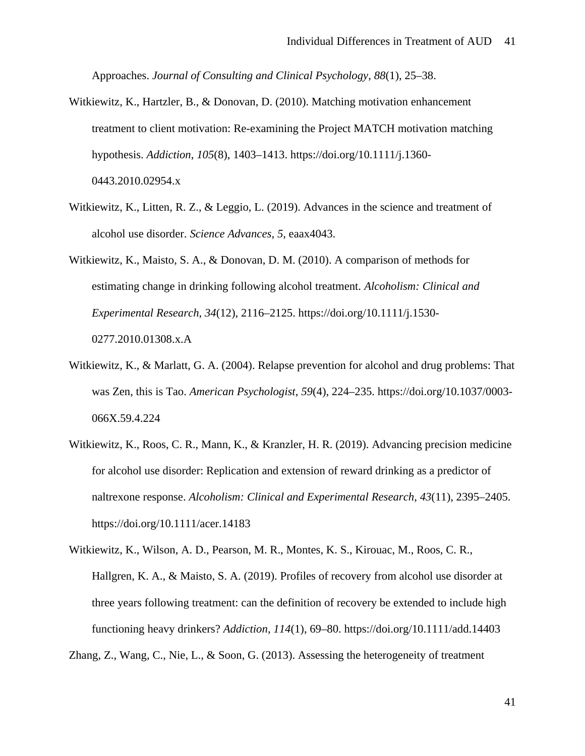Approaches. *Journal of Consulting and Clinical Psychology*, *88*(1), 25–38.

- Witkiewitz, K., Hartzler, B., & Donovan, D. (2010). Matching motivation enhancement treatment to client motivation: Re-examining the Project MATCH motivation matching hypothesis. *Addiction*, *105*(8), 1403–1413. https://doi.org/10.1111/j.1360- 0443.2010.02954.x
- Witkiewitz, K., Litten, R. Z., & Leggio, L. (2019). Advances in the science and treatment of alcohol use disorder. *Science Advances*, *5*, eaax4043.
- Witkiewitz, K., Maisto, S. A., & Donovan, D. M. (2010). A comparison of methods for estimating change in drinking following alcohol treatment. *Alcoholism: Clinical and Experimental Research*, *34*(12), 2116–2125. https://doi.org/10.1111/j.1530- 0277.2010.01308.x.A
- Witkiewitz, K., & Marlatt, G. A. (2004). Relapse prevention for alcohol and drug problems: That was Zen, this is Tao. *American Psychologist*, *59*(4), 224–235. https://doi.org/10.1037/0003- 066X.59.4.224
- Witkiewitz, K., Roos, C. R., Mann, K., & Kranzler, H. R. (2019). Advancing precision medicine for alcohol use disorder: Replication and extension of reward drinking as a predictor of naltrexone response. *Alcoholism: Clinical and Experimental Research*, *43*(11), 2395–2405. https://doi.org/10.1111/acer.14183

Witkiewitz, K., Wilson, A. D., Pearson, M. R., Montes, K. S., Kirouac, M., Roos, C. R., Hallgren, K. A., & Maisto, S. A. (2019). Profiles of recovery from alcohol use disorder at three years following treatment: can the definition of recovery be extended to include high functioning heavy drinkers? *Addiction*, *114*(1), 69–80. https://doi.org/10.1111/add.14403

Zhang, Z., Wang, C., Nie, L., & Soon, G. (2013). Assessing the heterogeneity of treatment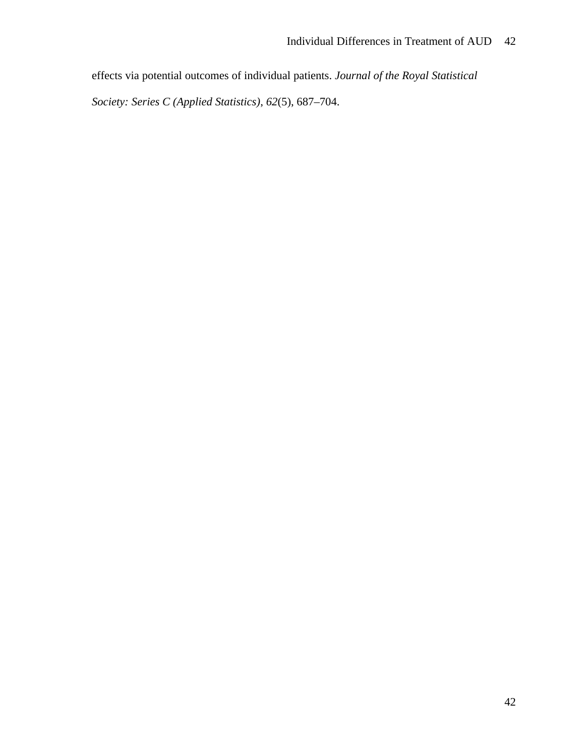effects via potential outcomes of individual patients. *Journal of the Royal Statistical Society: Series C (Applied Statistics)*, *62*(5), 687–704.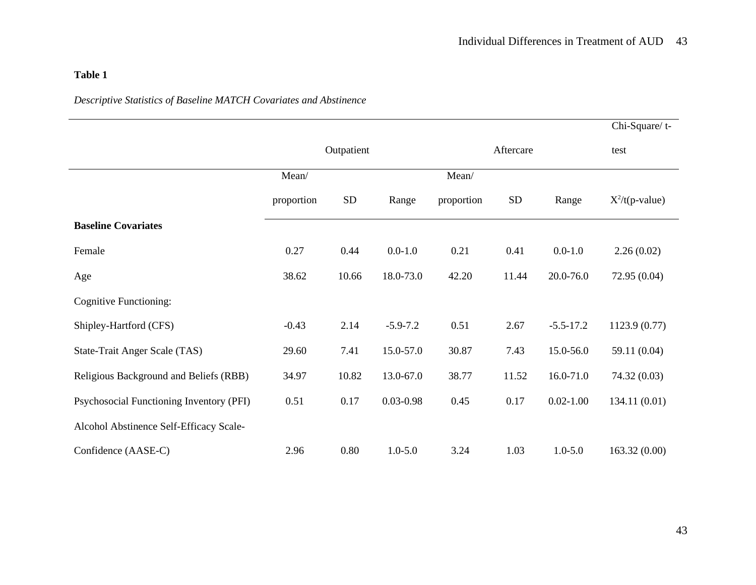## **Table 1**

## *Descriptive Statistics of Baseline MATCH Covariates and Abstinence*

|                                          |            |            |               |            |            |               | Chi-Square/t-    |
|------------------------------------------|------------|------------|---------------|------------|------------|---------------|------------------|
|                                          |            | Outpatient |               | Aftercare  | test       |               |                  |
|                                          | Mean/      |            |               | Mean/      |            |               |                  |
|                                          | proportion | ${\rm SD}$ | Range         | proportion | ${\rm SD}$ | Range         | $X^2/t(p-value)$ |
| <b>Baseline Covariates</b>               |            |            |               |            |            |               |                  |
| Female                                   | 0.27       | 0.44       | $0.0 - 1.0$   | 0.21       | 0.41       | $0.0 - 1.0$   | 2.26(0.02)       |
| Age                                      | 38.62      | 10.66      | 18.0-73.0     | 42.20      | 11.44      | 20.0-76.0     | 72.95 (0.04)     |
| <b>Cognitive Functioning:</b>            |            |            |               |            |            |               |                  |
| Shipley-Hartford (CFS)                   | $-0.43$    | 2.14       | $-5.9 - 7.2$  | 0.51       | 2.67       | $-5.5 - 17.2$ | 1123.9 (0.77)    |
| State-Trait Anger Scale (TAS)            | 29.60      | 7.41       | 15.0-57.0     | 30.87      | 7.43       | 15.0-56.0     | 59.11 (0.04)     |
| Religious Background and Beliefs (RBB)   | 34.97      | 10.82      | 13.0-67.0     | 38.77      | 11.52      | 16.0-71.0     | 74.32 (0.03)     |
| Psychosocial Functioning Inventory (PFI) | 0.51       | 0.17       | $0.03 - 0.98$ | 0.45       | 0.17       | $0.02 - 1.00$ | 134.11 (0.01)    |
| Alcohol Abstinence Self-Efficacy Scale-  |            |            |               |            |            |               |                  |
| Confidence (AASE-C)                      | 2.96       | 0.80       | $1.0 - 5.0$   | 3.24       | 1.03       | $1.0 - 5.0$   | 163.32 (0.00)    |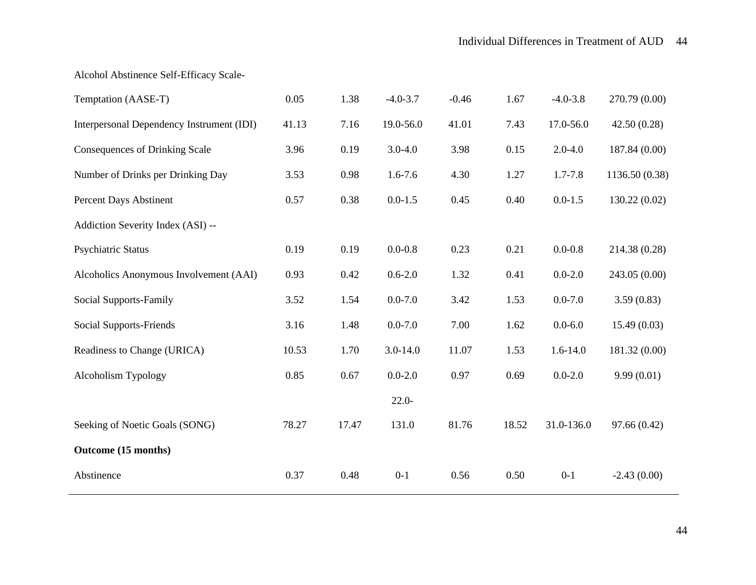Alcohol Abstinence Self-Efficacy Scale-

| Temptation (AASE-T)                       | 0.05  | 1.38  | $-4.0 - 3.7$ | $-0.46$ | 1.67  | $-4.0 - 3.8$ | 270.79 (0.00)  |
|-------------------------------------------|-------|-------|--------------|---------|-------|--------------|----------------|
| Interpersonal Dependency Instrument (IDI) | 41.13 | 7.16  | 19.0-56.0    | 41.01   | 7.43  | 17.0-56.0    | 42.50 (0.28)   |
| <b>Consequences of Drinking Scale</b>     | 3.96  | 0.19  | $3.0 - 4.0$  | 3.98    | 0.15  | $2.0 - 4.0$  | 187.84 (0.00)  |
| Number of Drinks per Drinking Day         | 3.53  | 0.98  | $1.6 - 7.6$  | 4.30    | 1.27  | $1.7 - 7.8$  | 1136.50 (0.38) |
| Percent Days Abstinent                    | 0.57  | 0.38  | $0.0 - 1.5$  | 0.45    | 0.40  | $0.0 - 1.5$  | 130.22(0.02)   |
| Addiction Severity Index (ASI) --         |       |       |              |         |       |              |                |
| <b>Psychiatric Status</b>                 | 0.19  | 0.19  | $0.0 - 0.8$  | 0.23    | 0.21  | $0.0 - 0.8$  | 214.38 (0.28)  |
| Alcoholics Anonymous Involvement (AAI)    | 0.93  | 0.42  | $0.6 - 2.0$  | 1.32    | 0.41  | $0.0 - 2.0$  | 243.05 (0.00)  |
| Social Supports-Family                    | 3.52  | 1.54  | $0.0 - 7.0$  | 3.42    | 1.53  | $0.0 - 7.0$  | 3.59(0.83)     |
| Social Supports-Friends                   | 3.16  | 1.48  | $0.0 - 7.0$  | 7.00    | 1.62  | $0.0 - 6.0$  | 15.49(0.03)    |
| Readiness to Change (URICA)               | 10.53 | 1.70  | $3.0 - 14.0$ | 11.07   | 1.53  | $1.6 - 14.0$ | 181.32 (0.00)  |
| Alcoholism Typology                       | 0.85  | 0.67  | $0.0 - 2.0$  | 0.97    | 0.69  | $0.0 - 2.0$  | 9.99(0.01)     |
|                                           |       |       | $22.0 -$     |         |       |              |                |
| Seeking of Noetic Goals (SONG)            | 78.27 | 17.47 | 131.0        | 81.76   | 18.52 | 31.0-136.0   | 97.66 (0.42)   |
| Outcome (15 months)                       |       |       |              |         |       |              |                |
| Abstinence                                | 0.37  | 0.48  | $0 - 1$      | 0.56    | 0.50  | $0 - 1$      | $-2.43(0.00)$  |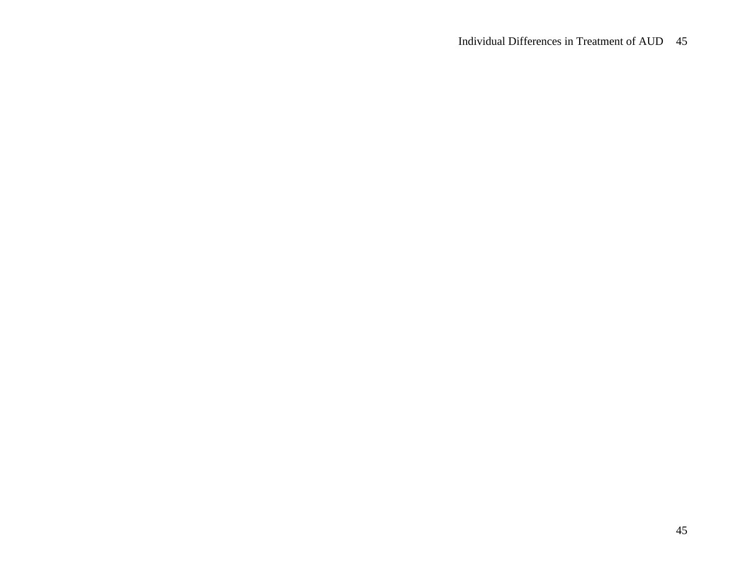Individual Differences in Treatment of AUD 45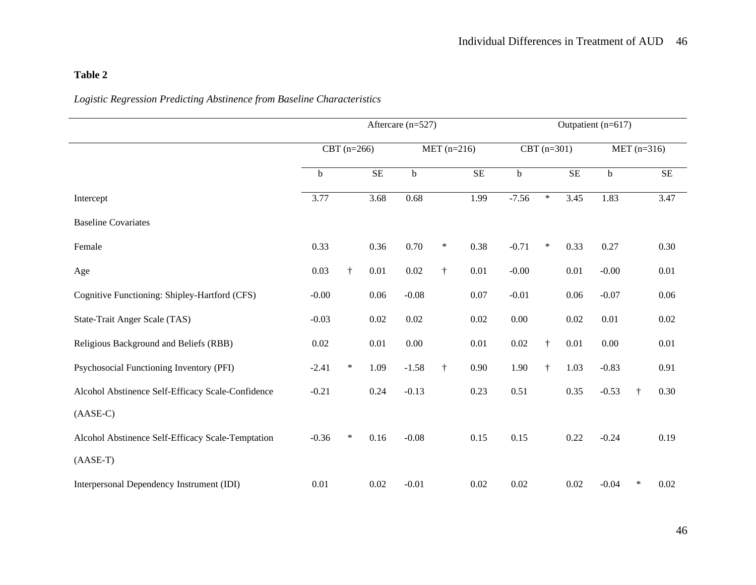## **Table 2**

*Logistic Regression Predicting Abstinence from Baseline Characteristics*

|                                                   | Aftercare (n=527) |           |           |               |            |                            | Outpatient (n=617) |           |           |             |           |                            |
|---------------------------------------------------|-------------------|-----------|-----------|---------------|------------|----------------------------|--------------------|-----------|-----------|-------------|-----------|----------------------------|
|                                                   | CBT (n=266)       |           |           | $MET (n=216)$ |            |                            | $CBT(n=301)$       |           |           | MET (n=316) |           |                            |
|                                                   | b                 |           | <b>SE</b> | $\mathbf b$   |            | $\ensuremath{\mathsf{SE}}$ | $\mathbf b$        |           | <b>SE</b> | b           |           | $\ensuremath{\mathsf{SE}}$ |
| Intercept                                         | 3.77              |           | 3.68      | 0.68          |            | 1.99                       | $-7.56$            | $\ast$    | 3.45      | 1.83        |           | 3.47                       |
| <b>Baseline Covariates</b>                        |                   |           |           |               |            |                            |                    |           |           |             |           |                            |
| Female                                            | 0.33              |           | 0.36      | 0.70          | $\ast$     | 0.38                       | $-0.71$            | $\ast$    | 0.33      | 0.27        |           | 0.30                       |
| Age                                               | 0.03              | $\dagger$ | $0.01\,$  | 0.02          | $\ddagger$ | 0.01                       | $-0.00$            |           | $0.01\,$  | $-0.00$     |           | $0.01\,$                   |
| Cognitive Functioning: Shipley-Hartford (CFS)     | $-0.00$           |           | 0.06      | $-0.08$       |            | 0.07                       | $-0.01$            |           | 0.06      | $-0.07$     |           | 0.06                       |
| State-Trait Anger Scale (TAS)                     | $-0.03$           |           | 0.02      | 0.02          |            | 0.02                       | $0.00\,$           |           | 0.02      | 0.01        |           | 0.02                       |
| Religious Background and Beliefs (RBB)            | 0.02              |           | $0.01\,$  | 0.00          |            | 0.01                       | 0.02               | $\dagger$ | $0.01\,$  | 0.00        |           | $0.01\,$                   |
| Psychosocial Functioning Inventory (PFI)          | $-2.41$           | $\ast$    | 1.09      | $-1.58$       | $\dagger$  | 0.90                       | 1.90               | $\dagger$ | 1.03      | $-0.83$     |           | 0.91                       |
| Alcohol Abstinence Self-Efficacy Scale-Confidence | $-0.21$           |           | 0.24      | $-0.13$       |            | 0.23                       | 0.51               |           | 0.35      | $-0.53$     | $\dagger$ | 0.30                       |
| $(AASE-C)$                                        |                   |           |           |               |            |                            |                    |           |           |             |           |                            |
| Alcohol Abstinence Self-Efficacy Scale-Temptation | $-0.36$           | $\ast$    | 0.16      | $-0.08$       |            | 0.15                       | 0.15               |           | 0.22      | $-0.24$     |           | 0.19                       |
| $(AASE-T)$                                        |                   |           |           |               |            |                            |                    |           |           |             |           |                            |
| Interpersonal Dependency Instrument (IDI)         | 0.01              |           | 0.02      | $-0.01$       |            | 0.02                       | 0.02               |           | 0.02      | $-0.04$     | ∗         | 0.02                       |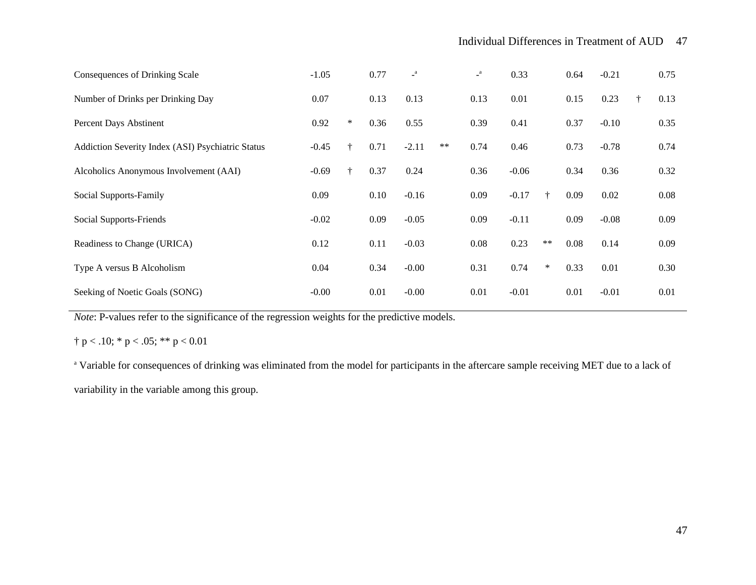| Consequences of Drinking Scale                    | $-1.05$ |            | 0.77 | $\mathbf{a}$ |       | $\mathbf{a}$ | 0.33    |            | 0.64 | $-0.21$ |           | 0.75 |
|---------------------------------------------------|---------|------------|------|--------------|-------|--------------|---------|------------|------|---------|-----------|------|
| Number of Drinks per Drinking Day                 | 0.07    |            | 0.13 | 0.13         |       | 0.13         | 0.01    |            | 0.15 | 0.23    | $\ddot{}$ | 0.13 |
| Percent Days Abstinent                            | 0.92    | $\ast$     | 0.36 | 0.55         |       | 0.39         | 0.41    |            | 0.37 | $-0.10$ |           | 0.35 |
| Addiction Severity Index (ASI) Psychiatric Status | $-0.45$ | $\ddagger$ | 0.71 | $-2.11$      | $***$ | 0.74         | 0.46    |            | 0.73 | $-0.78$ |           | 0.74 |
| Alcoholics Anonymous Involvement (AAI)            | $-0.69$ | $\pm$      | 0.37 | 0.24         |       | 0.36         | $-0.06$ |            | 0.34 | 0.36    |           | 0.32 |
| Social Supports-Family                            | 0.09    |            | 0.10 | $-0.16$      |       | 0.09         | $-0.17$ | $\ddagger$ | 0.09 | 0.02    |           | 0.08 |
| Social Supports-Friends                           | $-0.02$ |            | 0.09 | $-0.05$      |       | 0.09         | $-0.11$ |            | 0.09 | $-0.08$ |           | 0.09 |
| Readiness to Change (URICA)                       | 0.12    |            | 0.11 | $-0.03$      |       | 0.08         | 0.23    | $***$      | 0.08 | 0.14    |           | 0.09 |
| Type A versus B Alcoholism                        | 0.04    |            | 0.34 | $-0.00$      |       | 0.31         | 0.74    | $\ast$     | 0.33 | 0.01    |           | 0.30 |
| Seeking of Noetic Goals (SONG)                    | $-0.00$ |            | 0.01 | $-0.00$      |       | 0.01         | $-0.01$ |            | 0.01 | $-0.01$ |           | 0.01 |

*Note*: P-values refer to the significance of the regression weights for the predictive models.

 $\dagger$  p < .10; \* p < .05; \*\* p < 0.01

<sup>a</sup> Variable for consequences of drinking was eliminated from the model for participants in the aftercare sample receiving MET due to a lack of

variability in the variable among this group.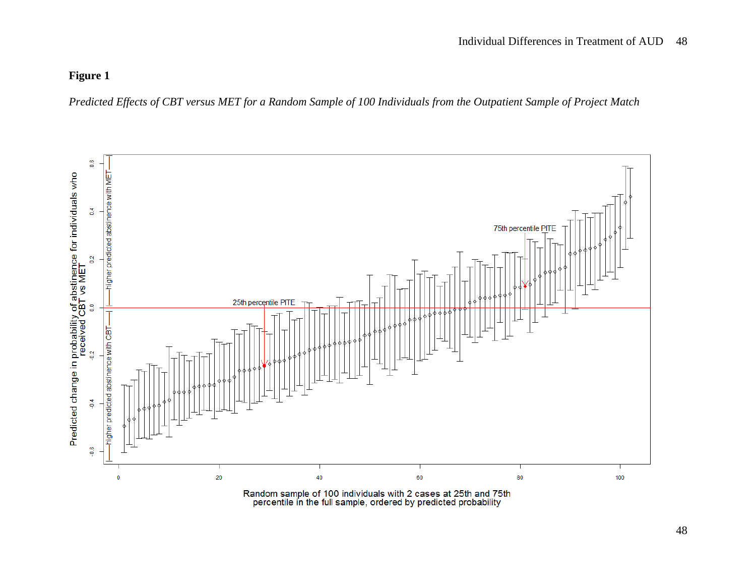# **Figure 1**

*Predicted Effects of CBT versus MET for a Random Sample of 100 Individuals from the Outpatient Sample of Project Match* 



Random sample of 100 individuals with 2 cases at 25th and 75th<br>percentile in the full sample, ordered by predicted probability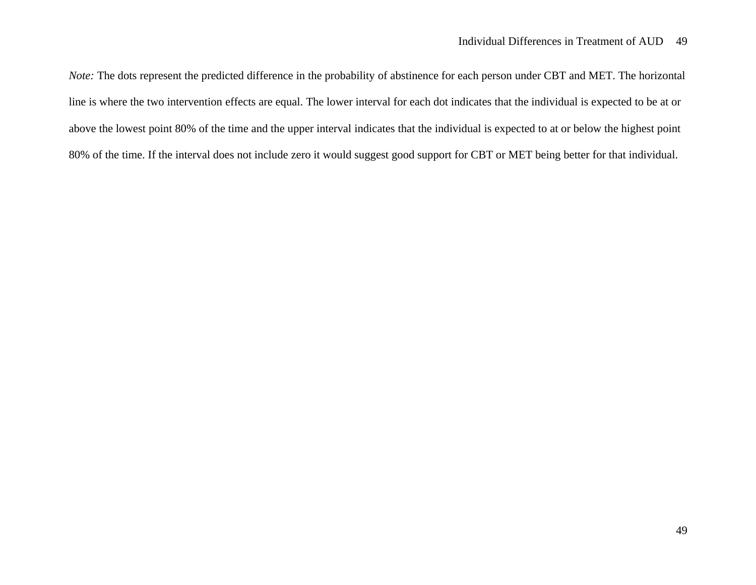*Note:* The dots represent the predicted difference in the probability of abstinence for each person under CBT and MET. The horizontal line is where the two intervention effects are equal. The lower interval for each dot indicates that the individual is expected to be at or above the lowest point 80% of the time and the upper interval indicates that the individual is expected to at or below the highest point 80% of the time. If the interval does not include zero it would suggest good support for CBT or MET being better for that individual.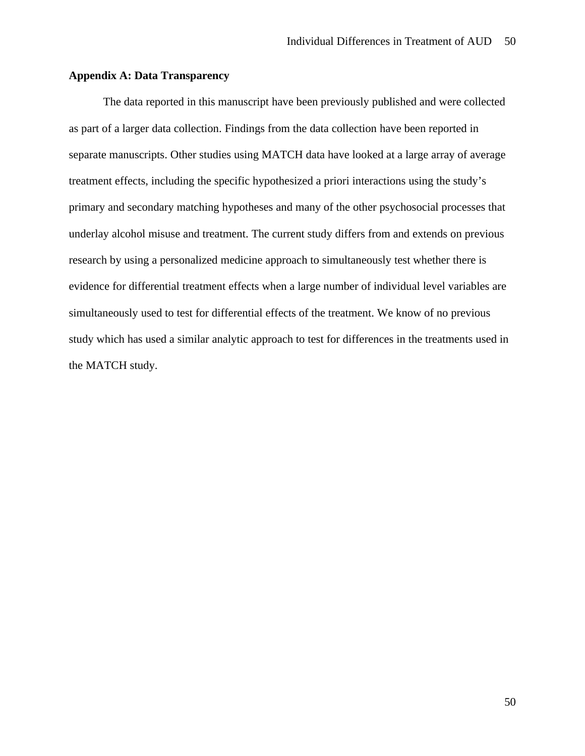## **Appendix A: Data Transparency**

The data reported in this manuscript have been previously published and were collected as part of a larger data collection. Findings from the data collection have been reported in separate manuscripts. Other studies using MATCH data have looked at a large array of average treatment effects, including the specific hypothesized a priori interactions using the study's primary and secondary matching hypotheses and many of the other psychosocial processes that underlay alcohol misuse and treatment. The current study differs from and extends on previous research by using a personalized medicine approach to simultaneously test whether there is evidence for differential treatment effects when a large number of individual level variables are simultaneously used to test for differential effects of the treatment. We know of no previous study which has used a similar analytic approach to test for differences in the treatments used in the MATCH study.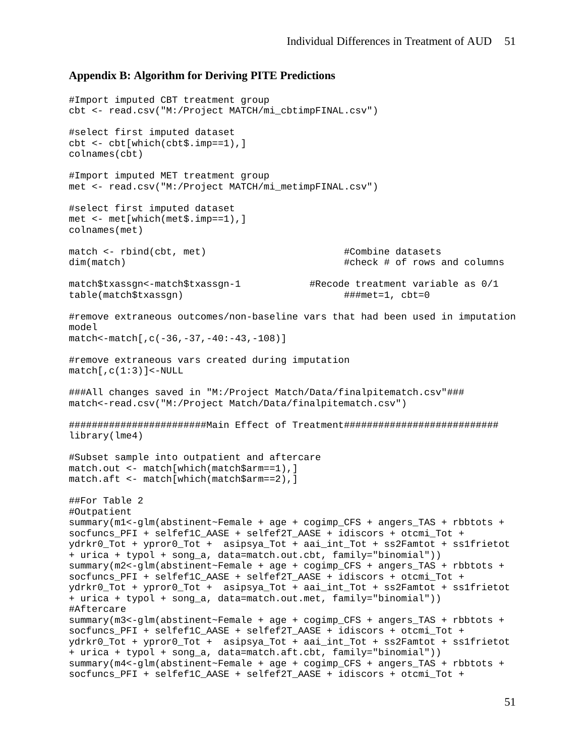## **Appendix B: Algorithm for Deriving PITE Predictions**

```
#Import imputed CBT treatment group
cbt <- read.csv("M:/Project MATCH/mi_cbtimpFINAL.csv")
#select first imputed dataset
cbt < -cbt[which(cbt\, imp==1), ]
colnames(cbt)
#Import imputed MET treatment group
met <- read.csv("M:/Project MATCH/mi_metimpFINAL.csv")
#select first imputed dataset
met <- met[which(met$.imp==1),]
colnames(met)
match <- rbind(cbt, met) #Combine datasets
                                               #check # of rows and columns
match$txassgn<-match$txassgn-1 #Recode treatment variable as 0/1
table(match$txassgn) ###met=1, cbt=0
#remove extraneous outcomes/non-baseline vars that had been used in imputation
model
match<-match[,c(-36,-37,-40:-43,-108)] 
#remove extraneous vars created during imputation
match[,c(1:3)] <- NULL
###All changes saved in "M:/Project Match/Data/finalpitematch.csv"###
match<-read.csv("M:/Project Match/Data/finalpitematch.csv")
########################Main Effect of Treatment###########################
library(lme4)
#Subset sample into outpatient and aftercare
match.out <- match[which(match$arm==1),]
match.aft <- match[which(match$arm==2),]
##For Table 2
#Outpatient
summary(m1<-glm(abstinent~Female + age + cogimp_CFS + angers_TAS + rbbtots + 
socfuncs_PFI + selfef1C_AASE + selfef2T_AASE + idiscors + otcmi_Tot + 
ydrkr0_Tot + ypror0_Tot + asipsya_Tot + aai_int_Tot + ss2Famtot + ss1frietot 
+ urica + typol + song_a, data=match.out.cbt, family="binomial"))
summary(m2<-glm(abstinent~Female + age + cogimp_CFS + angers_TAS + rbbtots + 
socfuncs_PFI + selfef1C_AASE + selfef2T_AASE + idiscors + otcmi_Tot + 
ydrkr0_Tot + ypror0_Tot + asipsya_Tot + aai_int_Tot + ss2Famtot + ss1frietot 
+ urica + typol + song_a, data=match.out.met, family="binomial"))
#Aftercare
summary(m3<-glm(abstinent~Female + age + cogimp_CFS + angers_TAS + rbbtots + 
socfuncs_PFI + selfef1C_AASE + selfef2T_AASE + idiscors + otcmi_Tot + 
ydrkr0_Tot + ypror0_Tot + asipsya_Tot + aai_int_Tot + ss2Famtot + ss1frietot 
+ urica + typol + song_a, data=match.aft.cbt, family="binomial"))
summary(m4<-glm(abstinent~Female + age + cogimp_CFS + angers_TAS + rbbtots + 
socfuncs_PFI + selfef1C_AASE + selfef2T_AASE + idiscors + otcmi_Tot +
```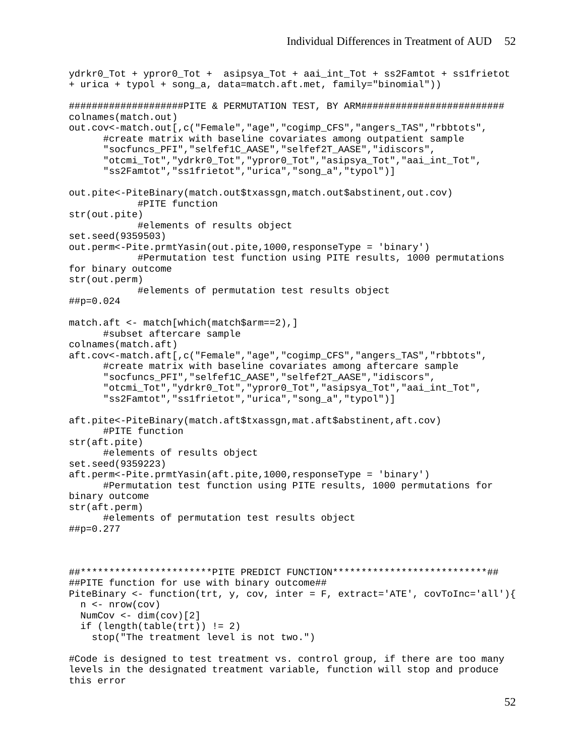```
ydrkr0_Tot + ypror0_Tot + asipsya_Tot + aai_int_Tot + ss2Famtot + ss1frietot 
+ urica + typol + song_a, data=match.aft.met, family="binomial"))
####################PITE & PERMUTATION TEST, BY ARM#########################
colnames(match.out)
out.cov<-match.out[,c("Female","age","cogimp_CFS","angers_TAS","rbbtots",
      #create matrix with baseline covariates among outpatient sample
      "socfuncs_PFI","selfef1C_AASE","selfef2T_AASE","idiscors",
      "otcmi_Tot","ydrkr0_Tot","ypror0_Tot","asipsya_Tot","aai_int_Tot",
      "ss2Famtot","ss1frietot","urica","song_a","typol")]
out.pite<-PiteBinary(match.out$txassgn,match.out$abstinent,out.cov)
            #PITE function
str(out.pite)
            #elements of results object
set.seed(9359503)
out.perm<-Pite.prmtYasin(out.pite,1000,responseType = 'binary')
            #Permutation test function using PITE results, 1000 permutations 
for binary outcome
str(out.perm)
            #elements of permutation test results object
##p=0.024
match.aft <- match[which(match$arm==2),]
      #subset aftercare sample
colnames(match.aft)
aft.cov<-match.aft[,c("Female","age","cogimp_CFS","angers_TAS","rbbtots",
      #create matrix with baseline covariates among aftercare sample
      "socfuncs_PFI","selfef1C_AASE","selfef2T_AASE","idiscors",
      "otcmi_Tot","ydrkr0_Tot","ypror0_Tot","asipsya_Tot","aai_int_Tot",
      "ss2Famtot","ss1frietot","urica","song_a","typol")]
aft.pite<-PiteBinary(match.aft$txassgn,mat.aft$abstinent,aft.cov)
      #PITE function
str(aft.pite)
      #elements of results object
set.seed(9359223)
aft.perm<-Pite.prmtYasin(aft.pite,1000,responseType = 'binary')
      #Permutation test function using PITE results, 1000 permutations for 
binary outcome
str(aft.perm)
      #elements of permutation test results object
##p=0.277
##***********************PITE PREDICT FUNCTION***************************##
##PITE function for use with binary outcome##
PiteBinary <- function(trt, y, cov, inter = F, extract='ATE', covToInc='all'){
  n \leq -nrow(cov) NumCov <- dim(cov)[2]
  if (length(table(trt)) != 2)
     stop("The treatment level is not two.")
#Code is designed to test treatment vs. control group, if there are too many
```
levels in the designated treatment variable, function will stop and produce this error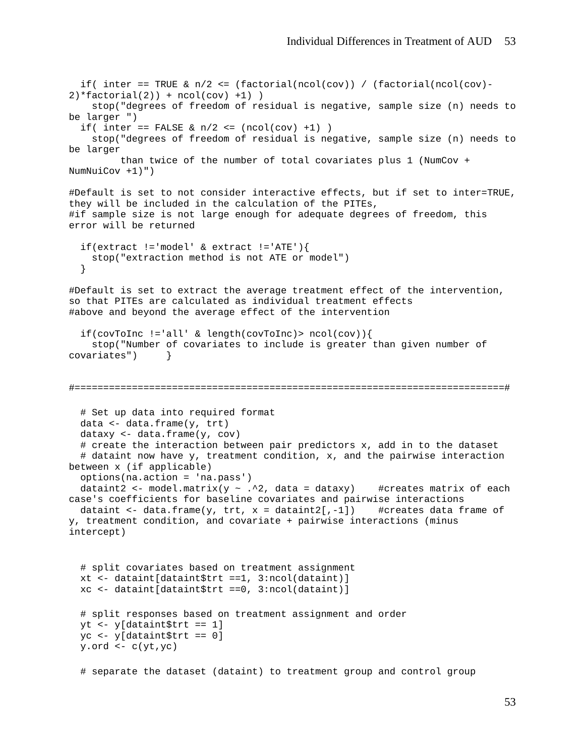```
if( inter == TRUE & n/2 \leq (factorial(ncol(cov)) / (factorial(ncol(cov))2)*factorial(2)) + ncol(cov) +1) stop("degrees of freedom of residual is negative, sample size (n) needs to
be larger ")
  if( inter == FALSE & n/2 \le (ncol(cov) +1) )
     stop("degrees of freedom of residual is negative, sample size (n) needs to
be larger 
          than twice of the number of total covariates plus 1 (NumCov + 
NumNuiCov +1)")
#Default is set to not consider interactive effects, but if set to inter=TRUE,
they will be included in the calculation of the PITEs,
#if sample size is not large enough for adequate degrees of freedom, this 
error will be returned
  if(extract !='model' & extract !='ATE') stop("extraction method is not ATE or model")
   }
#Default is set to extract the average treatment effect of the intervention, 
so that PITEs are calculated as individual treatment effects
#above and beyond the average effect of the intervention
   if(covToInc !='all' & length(covToInc)> ncol(cov)){
     stop("Number of covariates to include is greater than given number of 
covariates") }
#===========================================================================#
   # Set up data into required format
   data <- data.frame(y, trt)
   dataxy <- data.frame(y, cov)
   # create the interaction between pair predictors x, add in to the dataset
  # dataint now have y, treatment condition, x, and the pairwise interaction
between x (if applicable)
   options(na.action = 'na.pass')
  dataint2 <- model.matrix(y \sim .^2, data = dataxy) #creates matrix of each
case's coefficients for baseline covariates and pairwise interactions<br>dataint <- data.frame(y, trt, x = dataint2[,-1]) #creates data frame of
  dataint <- data.frame(y, trt, x = dataint2[, -1])
y, treatment condition, and covariate + pairwise interactions (minus 
intercept)
   # split covariates based on treatment assignment
   xt <- dataint[dataint$trt ==1, 3:ncol(dataint)] 
  xc \leq dataint[dataint$trt == 0, 3:ncol(dataint)] # split responses based on treatment assignment and order
  yt <- y[dataint$trt == 1] yc <- y[dataint$trt == 0] 
  y.ord \leftarrow c(yt,yc) # separate the dataset (dataint) to treatment group and control group
```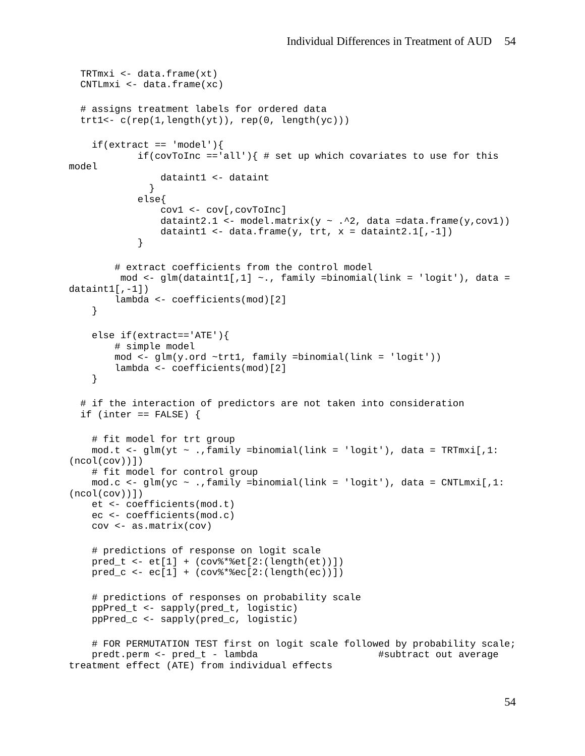```
 TRTmxi <- data.frame(xt)
   CNTLmxi <- data.frame(xc)
   # assigns treatment labels for ordered data
  trt1<- c(rep(1, length(yt)), rep(0, length(yc)))if(extract == 'model')if(covToInc =='all'){ # set up which covariates to use for this
model
                 dataint1 <- dataint
 }
             else{
                cov1 < -cov[, covToInc]dataint2.1 <- model.matrix(y \sim .^2, data =data.frame(y,cov1))
            dataint1 <- data.frame(y, \text{trt}, x = \text{dataint2.1}[-1]) }
         # extract coefficients from the control model
         mod <- glm(dataint1[,1] \sim., family =binomial(link = 'logit'), data =
dataint1[, -1])
         lambda <- coefficients(mod)[2] 
     }
     else if(extract=='ATE'){
         # simple model 
        mod \leq- glm(y.ord \leqtrt1, family =binomial(link = 'logit'))
         lambda <- coefficients(mod)[2] 
     }
  # if the interaction of predictors are not taken into consideration
  if (inter == FALSE) {
     # fit model for trt group
    mod.t <- glm(yt \sim ., family =binomial(link = 'logit'), data = TRTmxi[,1:
(ncol(cov))]) 
     # fit model for control group
    mod.c <- glm(yc \sim ., family =binomial(link = 'logit'), data = CNTLmxi[,1:
(ncol(cov))]) 
     et <- coefficients(mod.t)
     ec <- coefficients(mod.c)
     cov <- as.matrix(cov)
     # predictions of response on logit scale
    pred_t < -et[1] + (cov% * *et[2:(length(et))])pred_c \leq -ec[1] + (cov%*sec[2:(length(ec))]) # predictions of responses on probability scale
     ppPred_t <- sapply(pred_t, logistic) 
     ppPred_c <- sapply(pred_c, logistic) 
     # FOR PERMUTATION TEST first on logit scale followed by probability scale;
     predt.perm <- pred_t - lambda #subtract out average 
treatment effect (ATE) from individual effects
```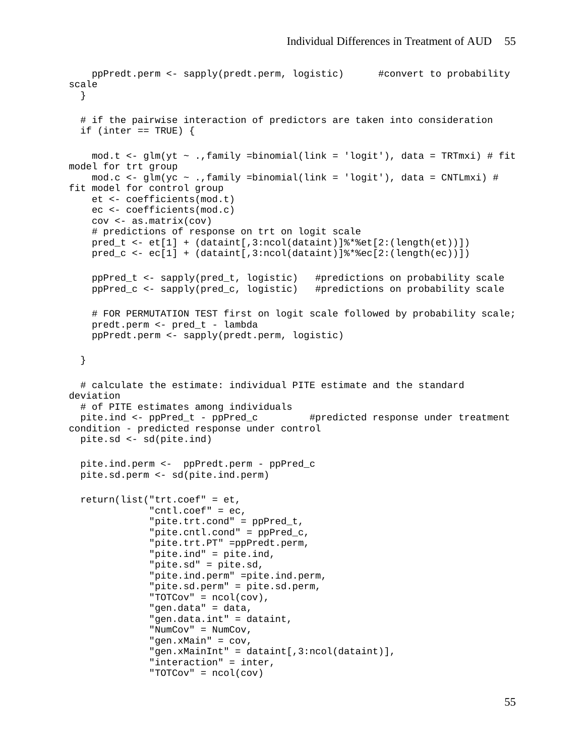```
 ppPredt.perm <- sapply(predt.perm, logistic) #convert to probability 
scale
   }
  # if the pairwise interaction of predictors are taken into consideration
  if (inter == TRUE) \{<code>mod.t <- glm(yt \sim .,family =binomial(link = 'logit'), data = TRTmxi) # fit</code>
model for trt group
    mod.c <- glm(yc \sim ., family =binomial(link = 'logit'), data = CNTLmxi) #
fit model for control group
     et <- coefficients(mod.t)
     ec <- coefficients(mod.c)
     cov <- as.matrix(cov)
     # predictions of response on trt on logit scale
     pred_t <- et[1] + (dataint[,3:ncol(dataint)]%*%et[2:(length(et))])
    pred_c <- ec[1] + (dataint[, 3:ncol(dataint)]%*%ec[2:(length(ec))])
     ppPred_t <- sapply(pred_t, logistic) #predictions on probability scale
     ppPred_c <- sapply(pred_c, logistic) #predictions on probability scale
     # FOR PERMUTATION TEST first on logit scale followed by probability scale;
     predt.perm <- pred_t - lambda
     ppPredt.perm <- sapply(predt.perm, logistic)
   }
   # calculate the estimate: individual PITE estimate and the standard 
deviation
   # of PITE estimates among individuals
   pite.ind <- ppPred_t - ppPred_c #predicted response under treatment 
condition - predicted response under control
   pite.sd <- sd(pite.ind)
   pite.ind.perm <- ppPredt.perm - ppPred_c
   pite.sd.perm <- sd(pite.ind.perm)
   return(list("trt.coef" = et,
              "cntl.coef" = ec, "pite.trt.cond" = ppPred_t,
               "pite.cntl.cond" = ppPred_c,
               "pite.trt.PT" =ppPredt.perm,
 "pite.ind" = pite.ind,
 "pite.sd" = pite.sd,
               "pite.ind.perm" =pite.ind.perm,
               "pite.sd.perm" = pite.sd.perm,
              "TOTCov" = ncol(cov),
               "gen.data" = data,
               "gen.data.int" = dataint,
               "NumCov" = NumCov,
               "gen.xMain" = cov,
              "gen.xMainInt" = dataint[, 3:ncol(dataint)],"interaction" = inter,
               "TOTCov" = ncol(cov)
```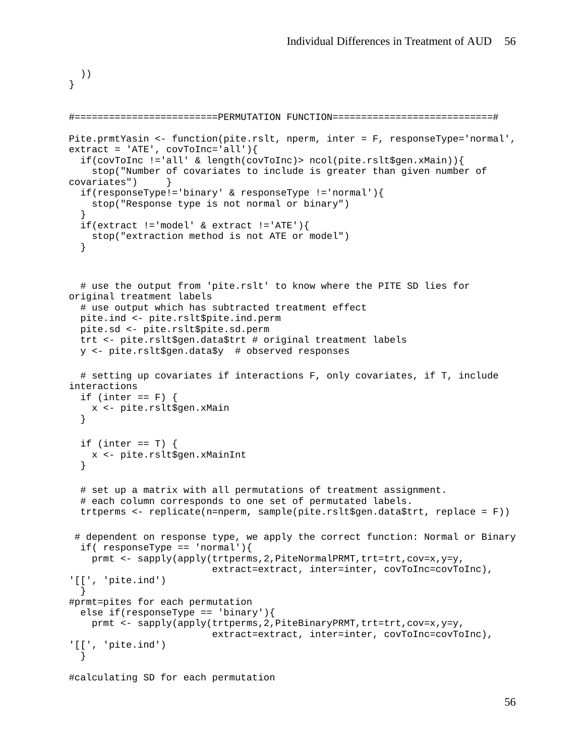```
 ))
}
```

```
#=========================PERMUTATION FUNCTION============================#
Pite.prmtYasin <- function(pite.rslt, nperm, inter = F, responseType='normal',
extract = 'ATE', covToInc='all') if(covToInc !='all' & length(covToInc)> ncol(pite.rslt$gen.xMain)){
     stop("Number of covariates to include is greater than given number of 
covariates") }
   if(responseType!='binary' & responseType !='normal'){
     stop("Response type is not normal or binary")
   }
  if(extract !='model' & extract !='ATE') stop("extraction method is not ATE or model")
   }
   # use the output from 'pite.rslt' to know where the PITE SD lies for 
original treatment labels
   # use output which has subtracted treatment effect 
   pite.ind <- pite.rslt$pite.ind.perm 
   pite.sd <- pite.rslt$pite.sd.perm
   trt <- pite.rslt$gen.data$trt # original treatment labels
   y <- pite.rslt$gen.data$y # observed responses
   # setting up covariates if interactions F, only covariates, if T, include 
interactions
  if (inter == F) {
     x <- pite.rslt$gen.xMain
   }
  if (inter == T) {
    x <- pite.rslt$gen.xMainInt
   }
   # set up a matrix with all permutations of treatment assignment. 
   # each column corresponds to one set of permutated labels. 
   trtperms <- replicate(n=nperm, sample(pite.rslt$gen.data$trt, replace = F))
  # dependent on response type, we apply the correct function: Normal or Binary
  if( responseType == 'normal')prmt <- sapply(apply(trtperms, 2, PiteNormalPRMT, trt=trt, cov=x, y=y,
                           extract=extract, inter=inter, covToInc=covToInc), 
'[[', 'pite.ind')
   }
#prmt=pites for each permutation 
   else if(responseType == 'binary'){
    prmt <- sapply(apply(trtperms, 2, PiteBinaryPRMT, trt=trt, cov=x, y=y,
                          extract=extract, inter=inter, covToInc=covToInc), 
'[[', 'pite.ind')
   }
#calculating SD for each permutation
```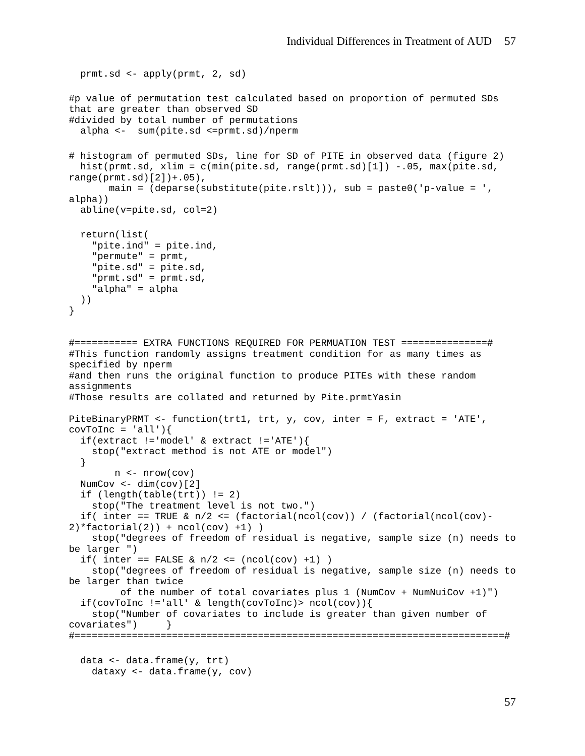```
 prmt.sd <- apply(prmt, 2, sd)
#p value of permutation test calculated based on proportion of permuted SDs 
that are greater than observed SD
#divided by total number of permutations
   alpha <- sum(pite.sd <=prmt.sd)/nperm 
# histogram of permuted SDs, line for SD of PITE in observed data (figure 2)
   hist(prmt.sd, xlim = c(min(pite.sd, range(prmt.sd)[1]) -.05, max(pite.sd, 
range(prmt.sd)[2])+.05),
       main = (deparse(substitute(pite.rslt))), sub = paste0('p-value = ',
alpha))
   abline(v=pite.sd, col=2)
   return(list(
    "pite.ind" = picture.ind, "permute" = prmt,
     "pite.sd" = pite.sd,
     "prmt.sd" = prmt.sd,
     "alpha" = alpha
   ))
}
#=========== EXTRA FUNCTIONS REQUIRED FOR PERMUATION TEST ===============#
#This function randomly assigns treatment condition for as many times as 
specified by nperm
#and then runs the original function to produce PITEs with these random 
assignments 
#Those results are collated and returned by Pite.prmtYasin
PiteBinaryPRMT <- function(trt1, trt, y, cov, inter = F, extract = 'ATE', 
covToInc = 'all')if(extract := 'model' \& extract != 'ATE') stop("extract method is not ATE or model")
   }
        n \leq -nrow(cov) NumCov <- dim(cov)[2]
  if (length(table(trt)) != 2) stop("The treatment level is not two.")
  if( inter == TRUE & n/2 \leq (factorial(ncol(cov)) / (factorial(ncol(cov))2<sup>*</sup>factorial(2)) + ncol(cov) +1) )
     stop("degrees of freedom of residual is negative, sample size (n) needs to
be larger ")
  if( inter == FALSE & n/2 \le (ncol(cov) +1) )
     stop("degrees of freedom of residual is negative, sample size (n) needs to
be larger than twice
         of the number of total covariates plus 1 (NumCov + NumNuiCov +1)")
   if(covToInc !='all' & length(covToInc)> ncol(cov)){
     stop("Number of covariates to include is greater than given number of 
covariates") }
#===========================================================================#
   data <- data.frame(y, trt)
```
dataxy <- data.frame(y, cov)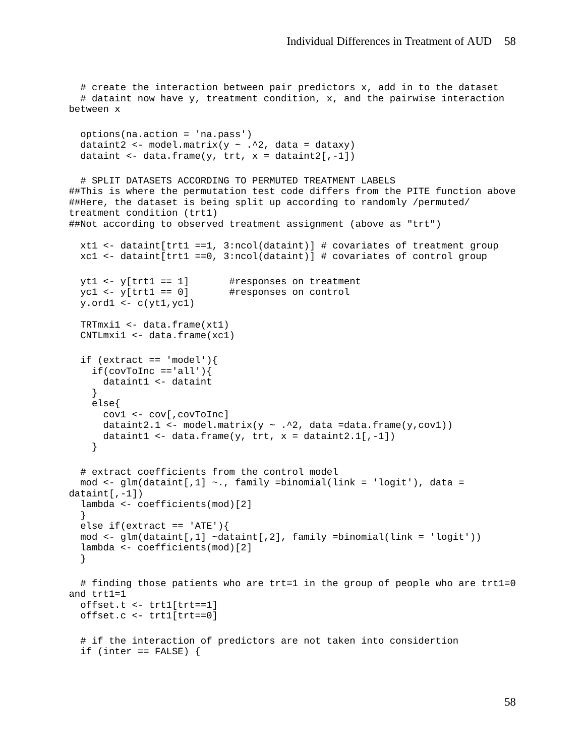```
 # dataint now have y, treatment condition, x, and the pairwise interaction 
between x
   options(na.action = 'na.pass')
  dataint2 <- model.matrix(y \sim .02, data = dataxy)
  dataint <- data.frame(y, \text{trt}, x = dataint2[,-1])
   # SPLIT DATASETS ACCORDING TO PERMUTED TREATMENT LABELS 
##This is where the permutation test code differs from the PITE function above
##Here, the dataset is being split up according to randomly /permuted/ 
treatment condition (trt1)
##Not according to observed treatment assignment (above as "trt")
  xt1 <- dataint [tr1 = 1, 3: ncol(dataint)] # covariates of treatment groupxc1 <- dataint [trt1 == 0, 3:nc0] (dataint) ] # covariates of control group
  yt1 <- y[trt1 == 1] #responses on treatment
  yc1 \le y[tr1 = 0] #responses on control
  y.ord1 < -c(yt1, yc1) TRTmxi1 <- data.frame(xt1)
   CNTLmxi1 <- data.frame(xc1)
  if (extract == 'model'){
    if(covToInc == 'all') dataint1 <- dataint
     }
     else{
       cov1 <- cov[,covToInc] 
      dataint2.1 <- model.matrix(y \sim .^2, data =data.frame(y,cov1))
      dataint1 <- data.frame(y, trt, x = dataint2.1[,-1])
     }
   # extract coefficients from the control model
  mod <- glm(dataint[, 1] ~., family =binomial(link = 'logit'), data =
dataint\lceil, -1])
   lambda <- coefficients(mod)[2] 
   }
  else if(extract == 'ATE'){
  mod <- glm(dataint[,1] ~dataint[,2], family =binomial(link = 'logit'))
   lambda <- coefficients(mod)[2] 
   }
  # finding those patients who are trt=1 in the group of people who are trt1=0
and trt1=1
   offset.t <- trt1[trt==1]
   offset.c <- trt1[trt==0]
  # if the interaction of predictors are not taken into considertion
  if (inter == FALSE) {
```
# create the interaction between pair predictors x, add in to the dataset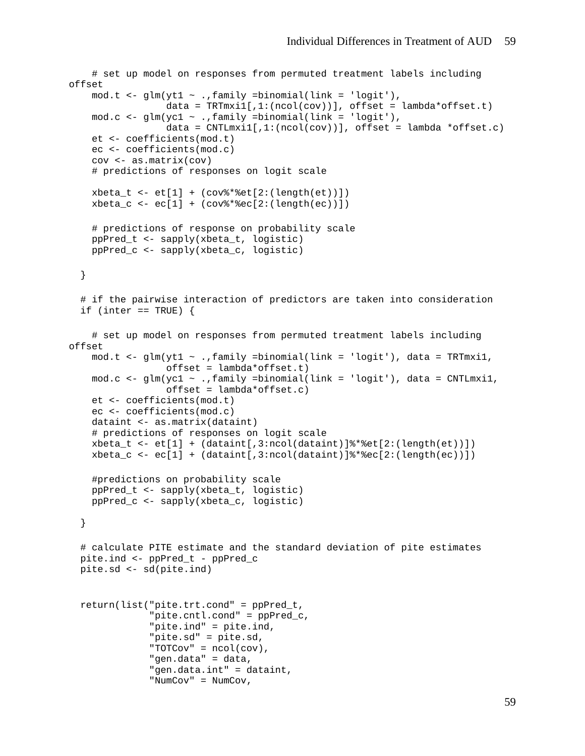```
 # set up model on responses from permuted treatment labels including 
offset
    mod.t < qlm(yt1 - ., family = binomial(link = 'logit'),data = TRTmxi1[,1:(ncol(cov))], offset = lambda*offset.t)mod.c <- glm(yc1 \sim ., family =binomial(link = 'logit'),
                 data = CNI\text{L}mxil[,1:(ncol(cov))], offset = lambda *offset.c)
     et <- coefficients(mod.t) 
     ec <- coefficients(mod.c) 
     cov <- as.matrix(cov)
     # predictions of responses on logit scale
     xbeta_t <- et[1] + (cov%*%et[2:(length(et))])
    xbeta_c < -ec[1] + (cov%*sec[2:(length(ec))]) # predictions of response on probability scale
     ppPred_t <- sapply(xbeta_t, logistic) 
     ppPred_c <- sapply(xbeta_c, logistic) 
   }
  # if the pairwise interaction of predictors are taken into consideration
  if (inter == TRUE) {
     # set up model on responses from permuted treatment labels including 
offset
    mod.t < qlm(yt1 - ., family = binomial(link = 'logit'), data = TRTmxi1,offset = lambda*offset.t)mod.c <- glm(yc1 \sim ., family = binomial(link = 'logit'), data = CNTLmxi1,offset = lambda*offset.c) et <- coefficients(mod.t) 
     ec <- coefficients(mod.c) 
     dataint <- as.matrix(dataint)
     # predictions of responses on logit scale
    xbeta_t < -et[1] + (dataint[, 3:ncol(dataint)]%et[2:(length(et))])
    xbeta_c \leq -ec[1] + (dataint[, 3:ncol(dataint)]\%*sec[2:(length(ec))]) #predictions on probability scale
     ppPred_t <- sapply(xbeta_t, logistic) 
    ppPred c \leq - sapply(xbeta c, logistic)
   }
   # calculate PITE estimate and the standard deviation of pite estimates 
   pite.ind <- ppPred_t - ppPred_c
   pite.sd <- sd(pite.ind)
   return(list("pite.trt.cond" = ppPred_t,
               "pite.cntl.cond" = ppPred "pite.ind" = pite.ind,
              "pite.sd" = picture.sd,
              "TOTCov" = ncol(cov),
              "gen.data" = data,
               "gen.data.int" = dataint,
               "NumCov" = NumCov,
```